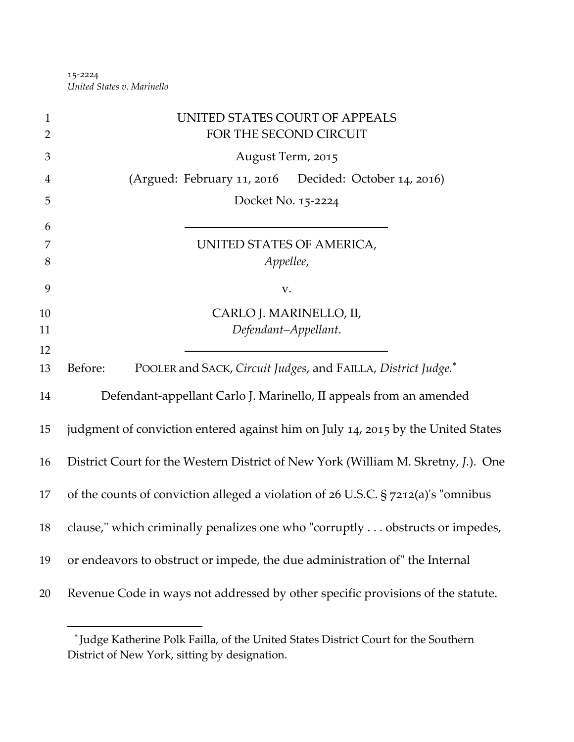‐2224 *United States v. Marinello*

| $\mathbf{1}$<br>$\overline{2}$ | UNITED STATES COURT OF APPEALS<br>FOR THE SECOND CIRCUIT                          |
|--------------------------------|-----------------------------------------------------------------------------------|
| 3                              | August Term, 2015                                                                 |
| 4                              | (Argued: February 11, 2016 Decided: October 14, 2016)                             |
| 5                              | Docket No. 15-2224                                                                |
| 6                              |                                                                                   |
| 7<br>8                         | UNITED STATES OF AMERICA,<br>Appellee,                                            |
| 9                              | V.                                                                                |
| 10                             | CARLO J. MARINELLO, II,                                                           |
| 11                             | Defendant-Appellant.                                                              |
| 12                             |                                                                                   |
| 13                             | POOLER and SACK, Circuit Judges, and FAILLA, District Judge.*<br>Before:          |
| 14                             | Defendant-appellant Carlo J. Marinello, II appeals from an amended                |
| 15                             | judgment of conviction entered against him on July 14, 2015 by the United States  |
| 16                             | District Court for the Western District of New York (William M. Skretny, J.). One |
| 17                             | of the counts of conviction alleged a violation of 26 U.S.C. § 7212(a)'s "omnibus |
| 18                             | clause," which criminally penalizes one who "corruptly obstructs or impedes,      |
| 19                             | or endeavors to obstruct or impede, the due administration of" the Internal       |
| 20                             | Revenue Code in ways not addressed by other specific provisions of the statute.   |
|                                |                                                                                   |

Judge Katherine Polk Failla, of the United States District Court for the Southern District of New York, sitting by designation.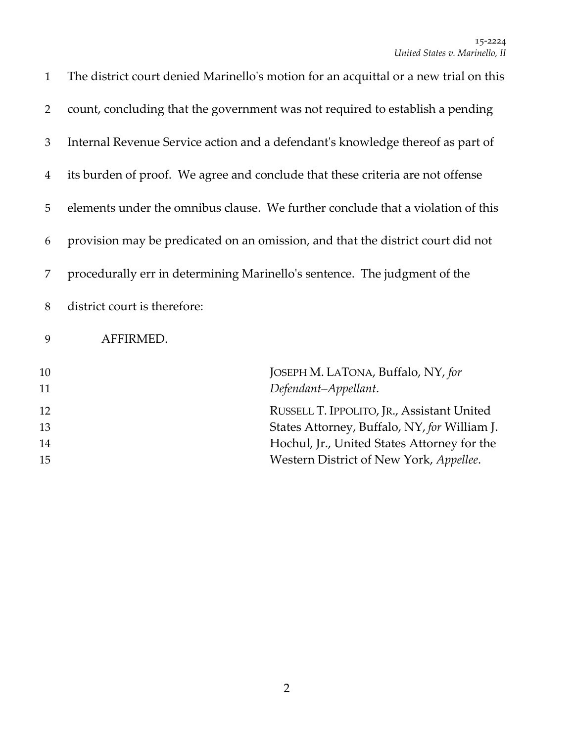| $\mathbf{1}$   | The district court denied Marinello's motion for an acquittal or a new trial on this |
|----------------|--------------------------------------------------------------------------------------|
| 2              | count, concluding that the government was not required to establish a pending        |
| 3              | Internal Revenue Service action and a defendant's knowledge thereof as part of       |
| $\overline{4}$ | its burden of proof. We agree and conclude that these criteria are not offense       |
| 5              | elements under the omnibus clause. We further conclude that a violation of this      |
| 6              | provision may be predicated on an omission, and that the district court did not      |
| 7              | procedurally err in determining Marinello's sentence. The judgment of the            |
| 8              | district court is therefore:                                                         |
| 9              | AFFIRMED.                                                                            |
| 10<br>11       | JOSEPH M. LATONA, Buffalo, NY, for<br>Defendant-Appellant.                           |
| 12             | RUSSELL T. IPPOLITO, JR., Assistant United                                           |
| 13             | States Attorney, Buffalo, NY, for William J.                                         |
| 14             | Hochul, Jr., United States Attorney for the                                          |
| 15             | Western District of New York, Appellee.                                              |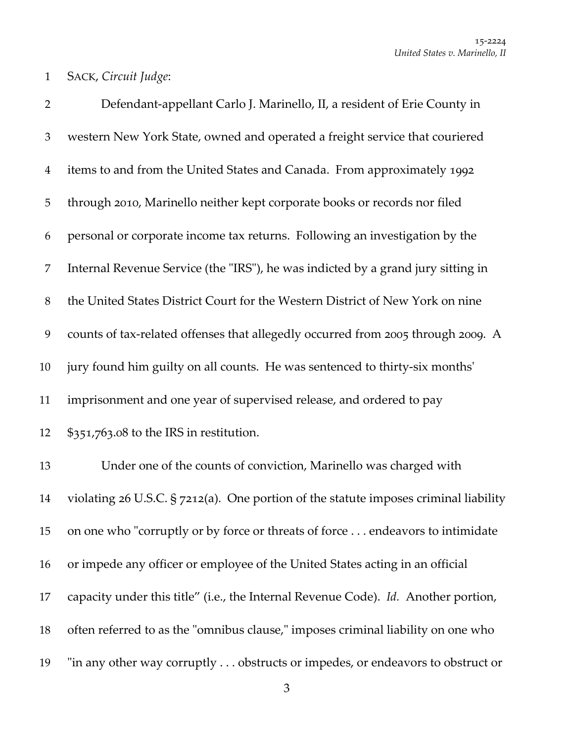SACK, *Circuit Judge*:

 Defendant‐appellant Carlo J. Marinello, II, a resident of Erie County in western New York State, owned and operated a freight service that couriered items to and from the United States and Canada. From approximately 1992 through 2010, Marinello neither kept corporate books or records nor filed personal or corporate income tax returns. Following an investigation by the 7 Internal Revenue Service (the "IRS"), he was indicted by a grand jury sitting in the United States District Court for the Western District of New York on nine 9 counts of tax-related offenses that allegedly occurred from 2005 through 2009. A jury found him guilty on all counts. He was sentenced to thirty‐six monthsʹ imprisonment and one year of supervised release, and ordered to pay \$351,763.08 to the IRS in restitution. Under one of the counts of conviction, Marinello was charged with violating 26 U.S.C. § 7212(a). One portion of the statute imposes criminal liability 15 on one who "corruptly or by force or threats of force ... endeavors to intimidate or impede any officer or employee of the United States acting in an official capacity under this title" (i.e., the Internal Revenue Code). *Id.* Another portion, 18 often referred to as the "omnibus clause," imposes criminal liability on one who 19 "in any other way corruptly . . . obstructs or impedes, or endeavors to obstruct or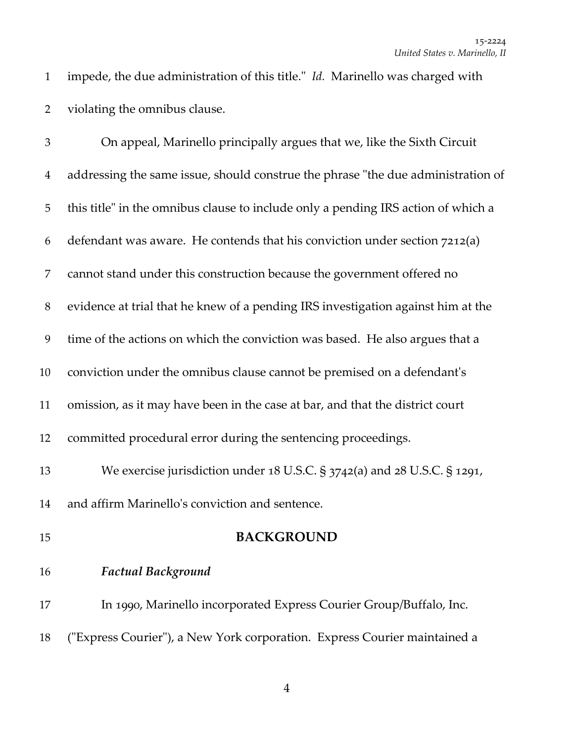1 impede, the due administration of this title." *Id.* Marinello was charged with violating the omnibus clause.

| $\mathfrak{Z}$ | On appeal, Marinello principally argues that we, like the Sixth Circuit           |
|----------------|-----------------------------------------------------------------------------------|
| $\overline{4}$ | addressing the same issue, should construe the phrase "the due administration of  |
| 5              | this title" in the omnibus clause to include only a pending IRS action of which a |
| 6              | defendant was aware. He contends that his conviction under section 7212(a)        |
| 7              | cannot stand under this construction because the government offered no            |
| $8\phantom{.}$ | evidence at trial that he knew of a pending IRS investigation against him at the  |
| 9              | time of the actions on which the conviction was based. He also argues that a      |
| 10             | conviction under the omnibus clause cannot be premised on a defendant's           |
| 11             | omission, as it may have been in the case at bar, and that the district court     |
| 12             | committed procedural error during the sentencing proceedings.                     |
| 13             | We exercise jurisdiction under 18 U.S.C. § 3742(a) and 28 U.S.C. § 1291,          |
| 14             | and affirm Marinello's conviction and sentence.                                   |
| 15             | <b>BACKGROUND</b>                                                                 |
| 16             | <b>Factual Background</b>                                                         |
| 17             | In 1990, Marinello incorporated Express Courier Group/Buffalo, Inc.               |
| 18             | ("Express Courier"), a New York corporation. Express Courier maintained a         |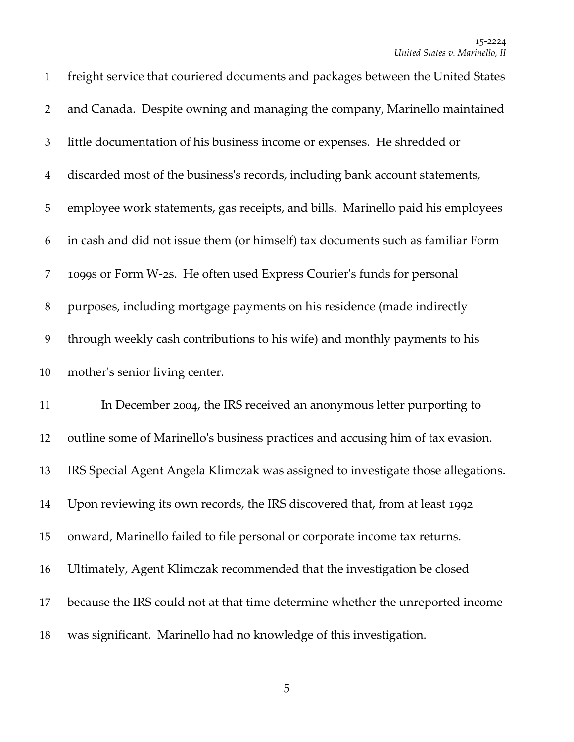| $\mathbf{1}$   | freight service that couriered documents and packages between the United States  |
|----------------|----------------------------------------------------------------------------------|
| $\overline{2}$ | and Canada. Despite owning and managing the company, Marinello maintained        |
| 3              | little documentation of his business income or expenses. He shredded or          |
| $\overline{4}$ | discarded most of the business's records, including bank account statements,     |
| 5              | employee work statements, gas receipts, and bills. Marinello paid his employees  |
| 6              | in cash and did not issue them (or himself) tax documents such as familiar Form  |
| 7              | 1099s or Form W-2s. He often used Express Courier's funds for personal           |
| 8              | purposes, including mortgage payments on his residence (made indirectly          |
| 9              | through weekly cash contributions to his wife) and monthly payments to his       |
|                |                                                                                  |
| 10             | mother's senior living center.                                                   |
| 11             | In December 2004, the IRS received an anonymous letter purporting to             |
| 12             | outline some of Marinello's business practices and accusing him of tax evasion.  |
| 13             | IRS Special Agent Angela Klimczak was assigned to investigate those allegations. |
| 14             | Upon reviewing its own records, the IRS discovered that, from at least 1992      |
| 15             | onward, Marinello failed to file personal or corporate income tax returns.       |
| 16             | Ultimately, Agent Klimczak recommended that the investigation be closed          |
| 17             | because the IRS could not at that time determine whether the unreported income   |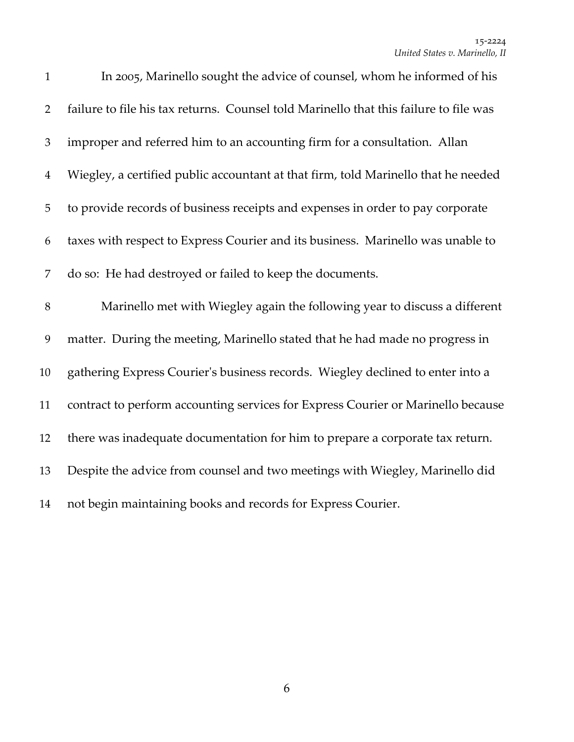| $\mathbf{1}$   | In 2005, Marinello sought the advice of counsel, whom he informed of his              |
|----------------|---------------------------------------------------------------------------------------|
| $\overline{2}$ | failure to file his tax returns. Counsel told Marinello that this failure to file was |
| 3              | improper and referred him to an accounting firm for a consultation. Allan             |
| $\overline{4}$ | Wiegley, a certified public accountant at that firm, told Marinello that he needed    |
| 5              | to provide records of business receipts and expenses in order to pay corporate        |
| 6              | taxes with respect to Express Courier and its business. Marinello was unable to       |
| 7              | do so: He had destroyed or failed to keep the documents.                              |
| $8\,$          | Marinello met with Wiegley again the following year to discuss a different            |
| 9              | matter. During the meeting, Marinello stated that he had made no progress in          |
| 10             | gathering Express Courier's business records. Wiegley declined to enter into a        |
| 11             | contract to perform accounting services for Express Courier or Marinello because      |
| 12             | there was inadequate documentation for him to prepare a corporate tax return.         |
| 13             | Despite the advice from counsel and two meetings with Wiegley, Marinello did          |
| 14             | not begin maintaining books and records for Express Courier.                          |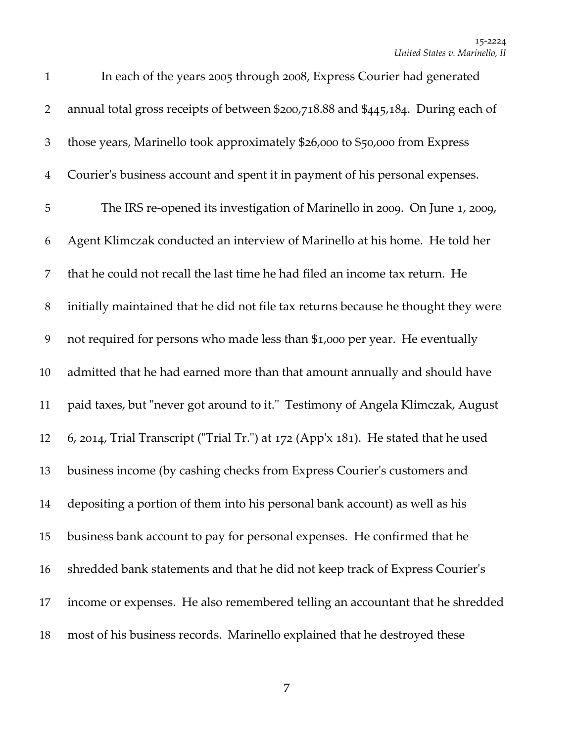| $\mathbf{1}$   | In each of the years 2005 through 2008, Express Courier had generated                   |
|----------------|-----------------------------------------------------------------------------------------|
| $\overline{2}$ | annual total gross receipts of between \$200,718.88 and \$445,184. During each of       |
| 3              | those years, Marinello took approximately \$26,000 to \$50,000 from Express             |
| $\overline{4}$ | Courier's business account and spent it in payment of his personal expenses.            |
| 5              | The IRS re-opened its investigation of Marinello in 2009. On June 1, 2009,              |
| 6              | Agent Klimczak conducted an interview of Marinello at his home. He told her             |
| 7              | that he could not recall the last time he had filed an income tax return. He            |
| $8\,$          | initially maintained that he did not file tax returns because he thought they were      |
| 9              | not required for persons who made less than \$1,000 per year. He eventually             |
| 10             | admitted that he had earned more than that amount annually and should have              |
| 11             | paid taxes, but "never got around to it." Testimony of Angela Klimczak, August          |
| 12             | 6, 2014, Trial Transcript ("Trial Tr.") at $172$ (App'x $181$ ). He stated that he used |
| 13             | business income (by cashing checks from Express Courier's customers and                 |
| 14             | depositing a portion of them into his personal bank account) as well as his             |
| 15             | business bank account to pay for personal expenses. He confirmed that he                |
| 16             | shredded bank statements and that he did not keep track of Express Courier's            |
| 17             | income or expenses. He also remembered telling an accountant that he shredded           |
| 18             | most of his business records. Marinello explained that he destroyed these               |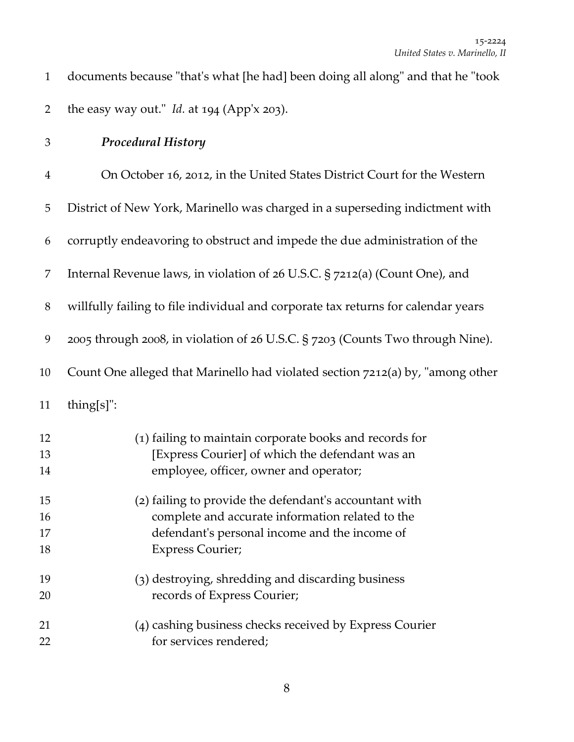| documents because "that's what [he had] been doing all along" and that he "took |
|---------------------------------------------------------------------------------|
| the easy way out." Id. at 194 (App'x 203).                                      |

*Procedural History*

| $\overline{4}$       | On October 16, 2012, in the United States District Court for the Western                                                                                                               |
|----------------------|----------------------------------------------------------------------------------------------------------------------------------------------------------------------------------------|
| 5                    | District of New York, Marinello was charged in a superseding indictment with                                                                                                           |
| 6                    | corruptly endeavoring to obstruct and impede the due administration of the                                                                                                             |
| 7                    | Internal Revenue laws, in violation of 26 U.S.C. § 7212(a) (Count One), and                                                                                                            |
| $8\,$                | willfully failing to file individual and corporate tax returns for calendar years                                                                                                      |
| 9                    | 2005 through 2008, in violation of 26 U.S.C. § 7203 (Counts Two through Nine).                                                                                                         |
| 10                   | Count One alleged that Marinello had violated section 7212(a) by, "among other                                                                                                         |
| 11                   | thing[s]":                                                                                                                                                                             |
| 12<br>13<br>14       | (1) failing to maintain corporate books and records for<br>[Express Courier] of which the defendant was an<br>employee, officer, owner and operator;                                   |
| 15<br>16<br>17<br>18 | (2) failing to provide the defendant's accountant with<br>complete and accurate information related to the<br>defendant's personal income and the income of<br><b>Express Courier;</b> |
| 19<br>20             | (3) destroying, shredding and discarding business<br>records of Express Courier;                                                                                                       |
| 21<br>22             | (4) cashing business checks received by Express Courier<br>for services rendered;                                                                                                      |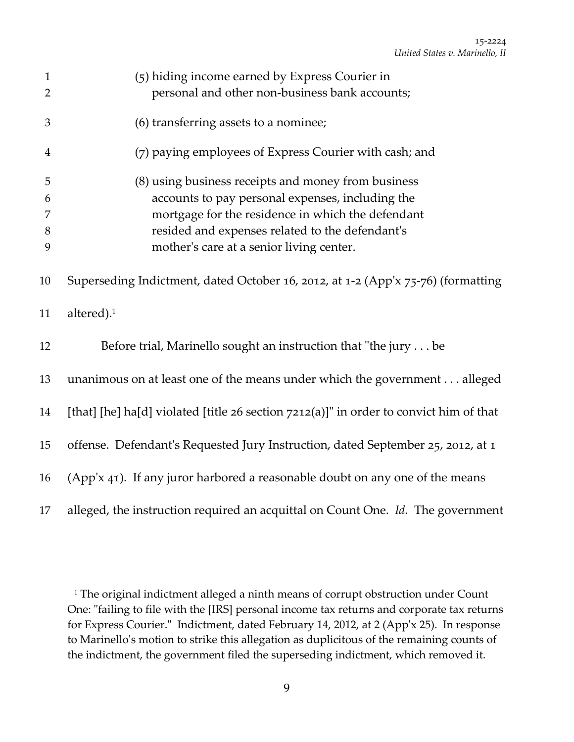| $\mathbf{1}$<br>$\overline{2}$ | (5) hiding income earned by Express Courier in<br>personal and other non-business bank accounts;                                                                                                                                                            |
|--------------------------------|-------------------------------------------------------------------------------------------------------------------------------------------------------------------------------------------------------------------------------------------------------------|
| 3                              | (6) transferring assets to a nominee;                                                                                                                                                                                                                       |
| $\overline{4}$                 | (7) paying employees of Express Courier with cash; and                                                                                                                                                                                                      |
| 5<br>6<br>7<br>8<br>9          | (8) using business receipts and money from business<br>accounts to pay personal expenses, including the<br>mortgage for the residence in which the defendant<br>resided and expenses related to the defendant's<br>mother's care at a senior living center. |
| 10                             | Superseding Indictment, dated October 16, 2012, at 1-2 (App'x 75-76) (formatting                                                                                                                                                                            |
| 11                             | altered). <sup>1</sup>                                                                                                                                                                                                                                      |
| 12                             | Before trial, Marinello sought an instruction that "the jury be                                                                                                                                                                                             |
| 13                             | unanimous on at least one of the means under which the government alleged                                                                                                                                                                                   |
| 14                             | [that] [he] ha[d] violated [title $26$ section $7212(a)$ ]" in order to convict him of that                                                                                                                                                                 |
| 15                             | offense. Defendant's Requested Jury Instruction, dated September 25, 2012, at 1                                                                                                                                                                             |
| 16                             | (App'x 41). If any juror harbored a reasonable doubt on any one of the means                                                                                                                                                                                |
| 17                             | alleged, the instruction required an acquittal on Count One. Id. The government                                                                                                                                                                             |

<sup>&</sup>lt;sup>1</sup> The original indictment alleged a ninth means of corrupt obstruction under Count One: "failing to file with the [IRS] personal income tax returns and corporate tax returns for Express Courier." Indictment, dated February 14, 2012, at 2 (App'x 25). In response to Marinelloʹs motion to strike this allegation as duplicitous of the remaining counts of the indictment, the government filed the superseding indictment, which removed it.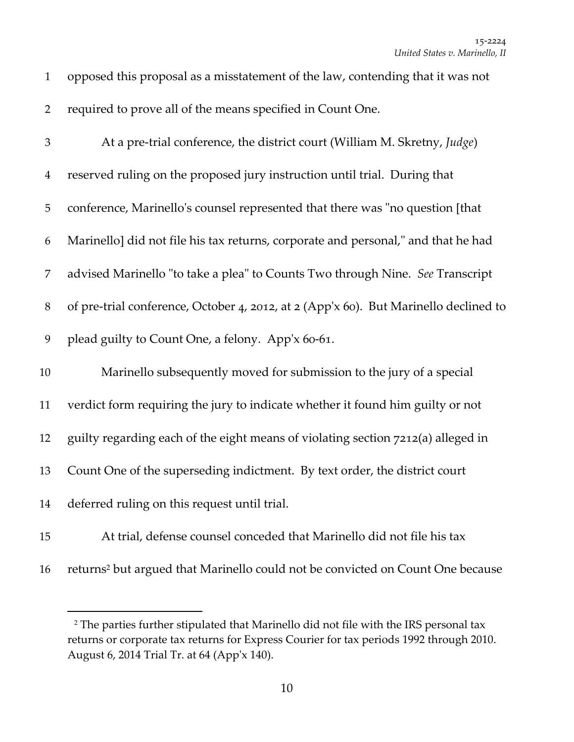| $\mathbf{1}$   | opposed this proposal as a misstatement of the law, contending that it was not             |
|----------------|--------------------------------------------------------------------------------------------|
| $\overline{2}$ | required to prove all of the means specified in Count One.                                 |
| $\mathfrak{Z}$ | At a pre-trial conference, the district court (William M. Skretny, Judge)                  |
| $\overline{4}$ | reserved ruling on the proposed jury instruction until trial. During that                  |
| $\mathbf 5$    | conference, Marinello's counsel represented that there was "no question [that              |
| 6              | Marinello] did not file his tax returns, corporate and personal," and that he had          |
| $\overline{7}$ | advised Marinello "to take a plea" to Counts Two through Nine. See Transcript              |
| $8\,$          | of pre-trial conference, October 4, 2012, at 2 (App'x 60). But Marinello declined to       |
| 9              | plead guilty to Count One, a felony. App'x 60-61.                                          |
| 10             | Marinello subsequently moved for submission to the jury of a special                       |
| 11             | verdict form requiring the jury to indicate whether it found him guilty or not             |
| 12             | guilty regarding each of the eight means of violating section 7212(a) alleged in           |
| 13             | Count One of the superseding indictment. By text order, the district court                 |
| 14             | deferred ruling on this request until trial.                                               |
| 15             | At trial, defense counsel conceded that Marinello did not file his tax                     |
| 16             | returns <sup>2</sup> but argued that Marinello could not be convicted on Count One because |

 The parties further stipulated that Marinello did not file with the IRS personal tax returns or corporate tax returns for Express Courier for tax periods 1992 through 2010. August 6, 2014 Trial Tr. at 64 (Appʹx 140).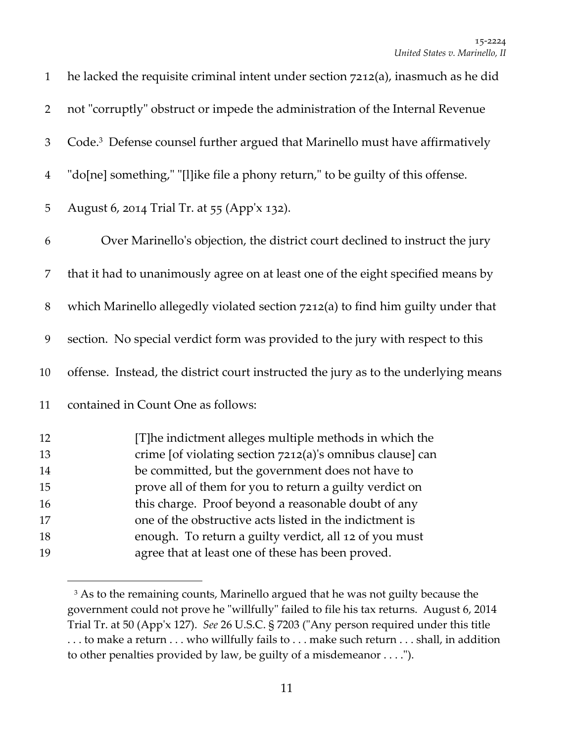| $\mathbf{1}$   | he lacked the requisite criminal intent under section $7212(a)$ , inasmuch as he did     |
|----------------|------------------------------------------------------------------------------------------|
| $\overline{2}$ | not "corruptly" obstruct or impede the administration of the Internal Revenue            |
| 3              | Code. <sup>3</sup> Defense counsel further argued that Marinello must have affirmatively |
| $\overline{4}$ | "do[ne] something," "[l]ike file a phony return," to be guilty of this offense.          |
| 5              | August 6, 2014 Trial Tr. at 55 (App'x 132).                                              |
| 6              | Over Marinello's objection, the district court declined to instruct the jury             |
| 7              | that it had to unanimously agree on at least one of the eight specified means by         |
| $8\,$          | which Marinello allegedly violated section 7212(a) to find him guilty under that         |
| 9              | section. No special verdict form was provided to the jury with respect to this           |
| 10             | offense. Instead, the district court instructed the jury as to the underlying means      |
| 11             | contained in Count One as follows:                                                       |
| 12             | [T]he indictment alleges multiple methods in which the                                   |
| 13             | crime [of violating section 7212(a)'s omnibus clause] can                                |
| 14             | be committed, but the government does not have to                                        |
| 15             | prove all of them for you to return a guilty verdict on                                  |
| 16             | this charge. Proof beyond a reasonable doubt of any                                      |
| 17             | one of the obstructive acts listed in the indictment is                                  |
| 18             | enough. To return a guilty verdict, all 12 of you must                                   |
| 19             | agree that at least one of these has been proved.                                        |

<sup>&</sup>lt;sup>3</sup> As to the remaining counts, Marinello argued that he was not guilty because the government could not prove he "willfully" failed to file his tax returns. August 6, 2014 Trial Tr. at 50 (App'x 127). See 26 U.S.C. § 7203 ("Any person required under this title . . . to make a return . . . who willfully fails to . . . make such return . . . shall, in addition to other penalties provided by law, be guilty of a misdemeanor . . . .").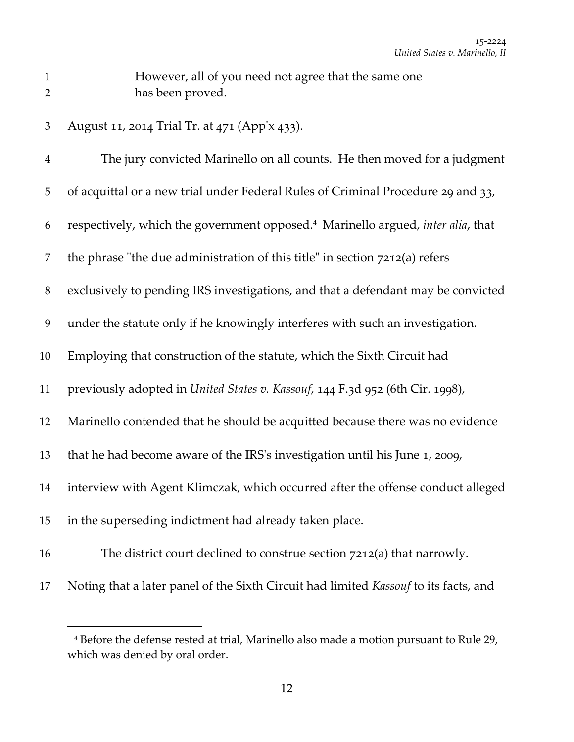- However, all of you need not agree that the same one has been proved.
	- August 11, 2014 Trial Tr. at 471 (Appʹx 433).

| $\overline{4}$ | The jury convicted Marinello on all counts. He then moved for a judgment                    |
|----------------|---------------------------------------------------------------------------------------------|
| 5              | of acquittal or a new trial under Federal Rules of Criminal Procedure 29 and 33,            |
| 6              | respectively, which the government opposed. <sup>4</sup> Marinello argued, inter alia, that |
| 7              | the phrase "the due administration of this title" in section 7212(a) refers                 |
| $\, 8$         | exclusively to pending IRS investigations, and that a defendant may be convicted            |
| 9              | under the statute only if he knowingly interferes with such an investigation.               |
| 10             | Employing that construction of the statute, which the Sixth Circuit had                     |
| 11             | previously adopted in United States v. Kassouf, 144 F.3d 952 (6th Cir. 1998),               |
| 12             | Marinello contended that he should be acquitted because there was no evidence               |
| 13             | that he had become aware of the IRS's investigation until his June 1, 2009,                 |
| 14             | interview with Agent Klimczak, which occurred after the offense conduct alleged             |
| 15             | in the superseding indictment had already taken place.                                      |
| 16             | The district court declined to construe section 7212(a) that narrowly.                      |
| 17             | Noting that a later panel of the Sixth Circuit had limited Kassouf to its facts, and        |

 Before the defense rested at trial, Marinello also made a motion pursuant to Rule 29, which was denied by oral order.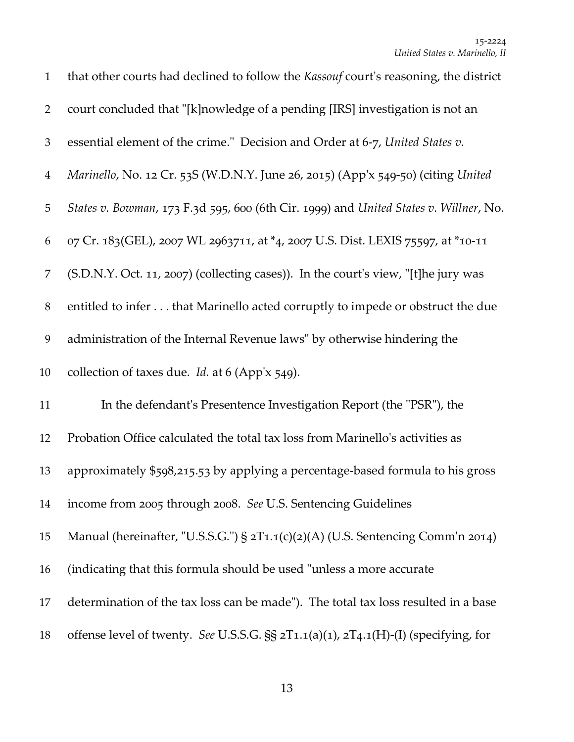| $\mathbf{1}$   | that other courts had declined to follow the <i>Kassouf</i> court's reasoning, the district |
|----------------|---------------------------------------------------------------------------------------------|
| $\overline{2}$ | court concluded that "[k]nowledge of a pending [IRS] investigation is not an                |
| 3              | essential element of the crime." Decision and Order at 6-7, United States v.                |
| $\overline{4}$ | Marinello, No. 12 Cr. 53S (W.D.N.Y. June 26, 2015) (App'x 549-50) (citing United            |
| $\mathbf 5$    | States v. Bowman, 173 F.3d 595, 600 (6th Cir. 1999) and United States v. Willner, No.       |
| 6              | 07 Cr. 183(GEL), 2007 WL 2963711, at *4, 2007 U.S. Dist. LEXIS 75597, at *10-11             |
| 7              | (S.D.N.Y. Oct. 11, 2007) (collecting cases)). In the court's view, "[t]he jury was          |
| $8\,$          | entitled to infer that Marinello acted corruptly to impede or obstruct the due              |
| 9              | administration of the Internal Revenue laws" by otherwise hindering the                     |
| 10             | collection of taxes due. Id. at 6 (App'x 549).                                              |
| 11             | In the defendant's Presentence Investigation Report (the "PSR"), the                        |
| 12             | Probation Office calculated the total tax loss from Marinello's activities as               |
| 13             | approximately \$598,215.53 by applying a percentage-based formula to his gross              |
| 14             | income from 2005 through 2008. See U.S. Sentencing Guidelines                               |
| 15             | Manual (hereinafter, "U.S.S.G.") § 2T1.1(c)(2)(A) (U.S. Sentencing Comm'n 2014)             |
| 16             | (indicating that this formula should be used "unless a more accurate")                      |
| 17             | determination of the tax loss can be made"). The total tax loss resulted in a base          |
| 18             | offense level of twenty. See U.S.S.G. §§ 2T1.1(a)(1), 2T4.1(H)-(I) (specifying, for         |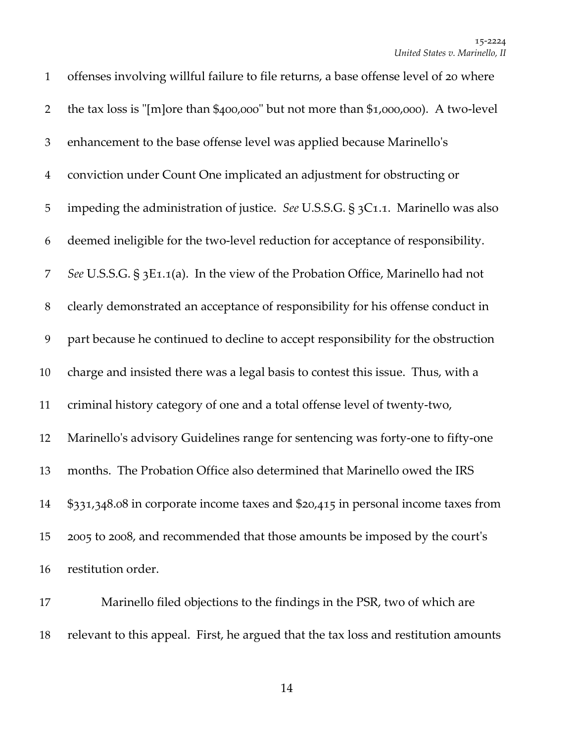| $\mathbf{1}$   | offenses involving willful failure to file returns, a base offense level of 20 where |
|----------------|--------------------------------------------------------------------------------------|
| $\overline{2}$ | the tax loss is "[m]ore than \$400,000" but not more than \$1,000,000). A two-level  |
| $\mathfrak{Z}$ | enhancement to the base offense level was applied because Marinello's                |
| $\overline{4}$ | conviction under Count One implicated an adjustment for obstructing or               |
| 5              | impeding the administration of justice. See U.S.S.G. § 3C1.1. Marinello was also     |
| 6              | deemed ineligible for the two-level reduction for acceptance of responsibility.      |
| 7              | See U.S.S.G. § 3E1.1(a). In the view of the Probation Office, Marinello had not      |
| $8\phantom{1}$ | clearly demonstrated an acceptance of responsibility for his offense conduct in      |
| 9              | part because he continued to decline to accept responsibility for the obstruction    |
| 10             | charge and insisted there was a legal basis to contest this issue. Thus, with a      |
| 11             | criminal history category of one and a total offense level of twenty-two,            |
| 12             | Marinello's advisory Guidelines range for sentencing was forty-one to fifty-one      |
| 13             | months. The Probation Office also determined that Marinello owed the IRS             |
| 14             | \$331,348.08 in corporate income taxes and \$20,415 in personal income taxes from    |
| 15             | 2005 to 2008, and recommended that those amounts be imposed by the court's           |
| 16             | restitution order.                                                                   |

 Marinello filed objections to the findings in the PSR, two of which are relevant to this appeal. First, he argued that the tax loss and restitution amounts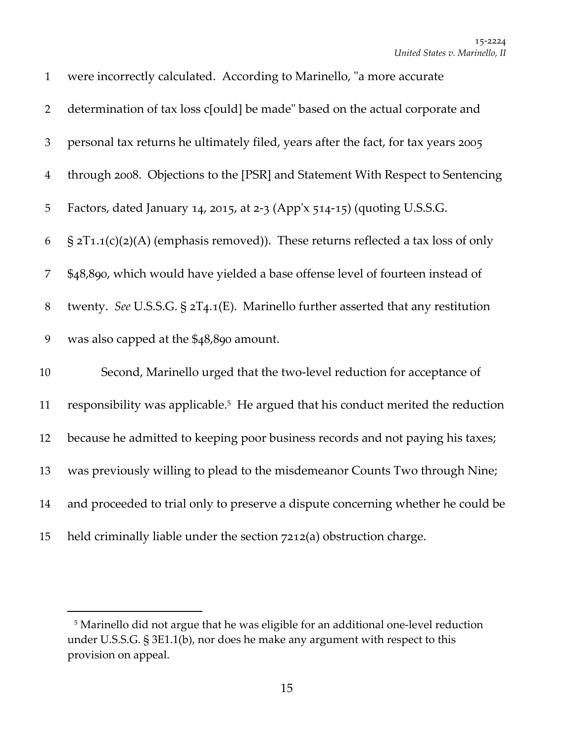| $\mathbf{1}$   | were incorrectly calculated. According to Marinello, "a more accurate"                       |
|----------------|----------------------------------------------------------------------------------------------|
| $\overline{2}$ | determination of tax loss c[ould] be made" based on the actual corporate and                 |
| $\mathfrak{Z}$ | personal tax returns he ultimately filed, years after the fact, for tax years 2005           |
| $\overline{4}$ | through 2008. Objections to the [PSR] and Statement With Respect to Sentencing               |
| 5              | Factors, dated January 14, 2015, at 2-3 (App'x 514-15) (quoting U.S.S.G.                     |
| 6              | $\S 2T1.1(c)(2)(A)$ (emphasis removed)). These returns reflected a tax loss of only          |
| 7              | \$48,890, which would have yielded a base offense level of fourteen instead of               |
| $8\,$          | twenty. See U.S.S.G. $\S$ $2T_4.1(E)$ . Marinello further asserted that any restitution      |
| 9              | was also capped at the \$48,890 amount.                                                      |
| 10             | Second, Marinello urged that the two-level reduction for acceptance of                       |
| 11             | responsibility was applicable. <sup>5</sup> He argued that his conduct merited the reduction |
| 12             | because he admitted to keeping poor business records and not paying his taxes;               |
| 13             | was previously willing to plead to the misdemeanor Counts Two through Nine;                  |
| 14             | and proceeded to trial only to preserve a dispute concerning whether he could be             |
| 15             | held criminally liable under the section 7212(a) obstruction charge.                         |

 Marinello did not argue that he was eligible for an additional one‐level reduction under U.S.S.G. § 3E1.1(b), nor does he make any argument with respect to this provision on appeal.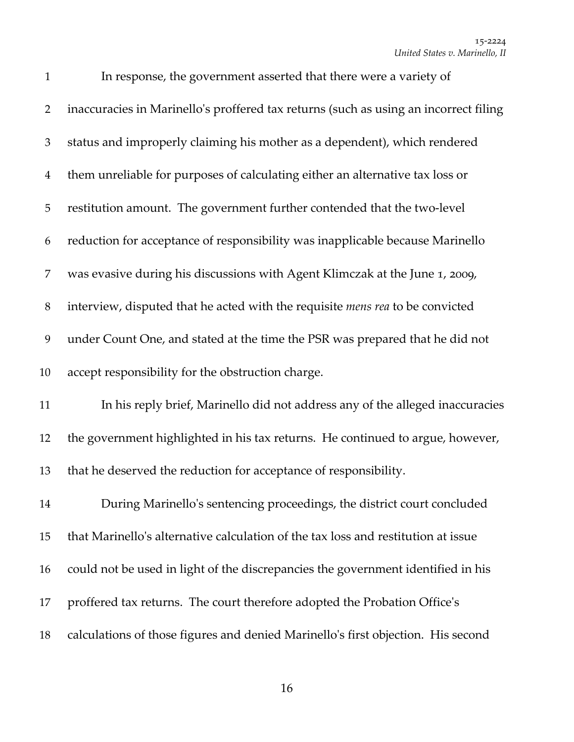| $\mathbf{1}$   | In response, the government asserted that there were a variety of                    |
|----------------|--------------------------------------------------------------------------------------|
| $\overline{2}$ | inaccuracies in Marinello's proffered tax returns (such as using an incorrect filing |
| 3              | status and improperly claiming his mother as a dependent), which rendered            |
| $\overline{4}$ | them unreliable for purposes of calculating either an alternative tax loss or        |
| 5              | restitution amount. The government further contended that the two-level              |
| 6              | reduction for acceptance of responsibility was inapplicable because Marinello        |
| 7              | was evasive during his discussions with Agent Klimczak at the June 1, 2009,          |
| 8              | interview, disputed that he acted with the requisite mens rea to be convicted        |
| 9              | under Count One, and stated at the time the PSR was prepared that he did not         |
| 10             | accept responsibility for the obstruction charge.                                    |
| 11             | In his reply brief, Marinello did not address any of the alleged inaccuracies        |
| 12             | the government highlighted in his tax returns. He continued to argue, however,       |
| 13             | that he deserved the reduction for acceptance of responsibility.                     |
| 14             | During Marinello's sentencing proceedings, the district court concluded              |
| 15             | that Marinello's alternative calculation of the tax loss and restitution at issue    |
| 16             | could not be used in light of the discrepancies the government identified in his     |
| 17             | proffered tax returns. The court therefore adopted the Probation Office's            |
| 18             | calculations of those figures and denied Marinello's first objection. His second     |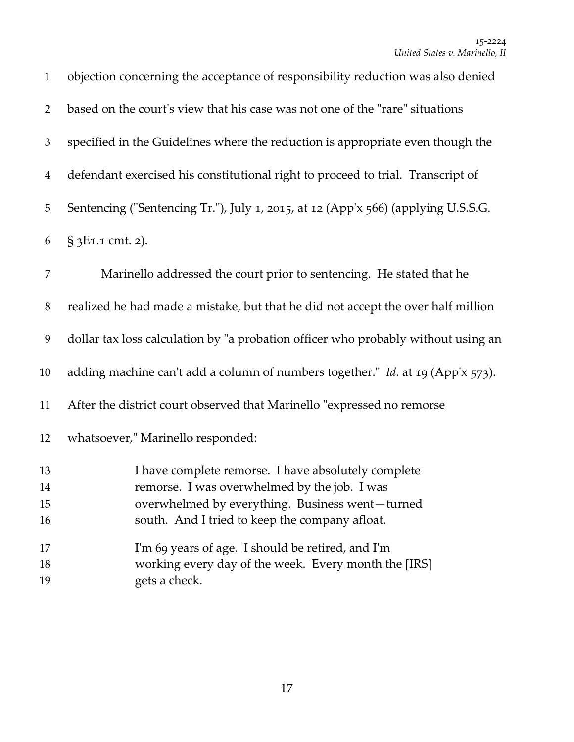| $\mathbf{1}$         | objection concerning the acceptance of responsibility reduction was also denied                                                                                                                          |
|----------------------|----------------------------------------------------------------------------------------------------------------------------------------------------------------------------------------------------------|
| $\overline{2}$       | based on the court's view that his case was not one of the "rare" situations                                                                                                                             |
| 3                    | specified in the Guidelines where the reduction is appropriate even though the                                                                                                                           |
| $\overline{4}$       | defendant exercised his constitutional right to proceed to trial. Transcript of                                                                                                                          |
| 5                    | Sentencing ("Sentencing Tr."), July 1, 2015, at 12 (App'x 566) (applying U.S.S.G.                                                                                                                        |
| 6                    | § 3E1.1 cmt. 2).                                                                                                                                                                                         |
| 7                    | Marinello addressed the court prior to sentencing. He stated that he                                                                                                                                     |
| $8\,$                | realized he had made a mistake, but that he did not accept the over half million                                                                                                                         |
| 9                    | dollar tax loss calculation by "a probation officer who probably without using an                                                                                                                        |
| 10                   | adding machine can't add a column of numbers together." Id. at 19 (App'x 573).                                                                                                                           |
| 11                   | After the district court observed that Marinello "expressed no remorse                                                                                                                                   |
| 12                   | whatsoever," Marinello responded:                                                                                                                                                                        |
| 13<br>14<br>15<br>16 | I have complete remorse. I have absolutely complete<br>remorse. I was overwhelmed by the job. I was<br>overwhelmed by everything. Business went-turned<br>south. And I tried to keep the company afloat. |
| 17<br>18<br>19       | I'm 69 years of age. I should be retired, and I'm<br>working every day of the week. Every month the [IRS]<br>gets a check.                                                                               |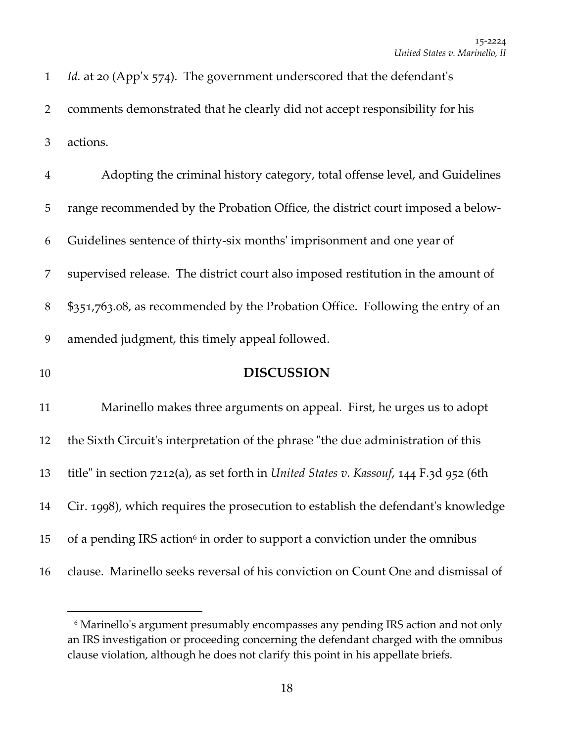| $\mathbf{1}$   | <i>Id.</i> at 20 (App'x 574). The government underscored that the defendant's           |
|----------------|-----------------------------------------------------------------------------------------|
| $\overline{2}$ | comments demonstrated that he clearly did not accept responsibility for his             |
| $\mathfrak{Z}$ | actions.                                                                                |
| $\overline{4}$ | Adopting the criminal history category, total offense level, and Guidelines             |
| 5              | range recommended by the Probation Office, the district court imposed a below-          |
| 6              | Guidelines sentence of thirty-six months' imprisonment and one year of                  |
| 7              | supervised release. The district court also imposed restitution in the amount of        |
| 8              | \$351,763.08, as recommended by the Probation Office. Following the entry of an         |
| 9              | amended judgment, this timely appeal followed.                                          |
| 10             | <b>DISCUSSION</b>                                                                       |
| 11             | Marinello makes three arguments on appeal. First, he urges us to adopt                  |
| 12             | the Sixth Circuit's interpretation of the phrase "the due administration of this        |
| 13             | title" in section 7212(a), as set forth in United States v. Kassouf, 144 F.3d 952 (6th  |
| 14             | Cir. 1998), which requires the prosecution to establish the defendant's knowledge       |
| 15             | of a pending IRS action <sup>6</sup> in order to support a conviction under the omnibus |
| 16             | clause. Marinello seeks reversal of his conviction on Count One and dismissal of        |

<sup>&</sup>lt;sup>6</sup> Marinello's argument presumably encompasses any pending IRS action and not only an IRS investigation or proceeding concerning the defendant charged with the omnibus clause violation, although he does not clarify this point in his appellate briefs.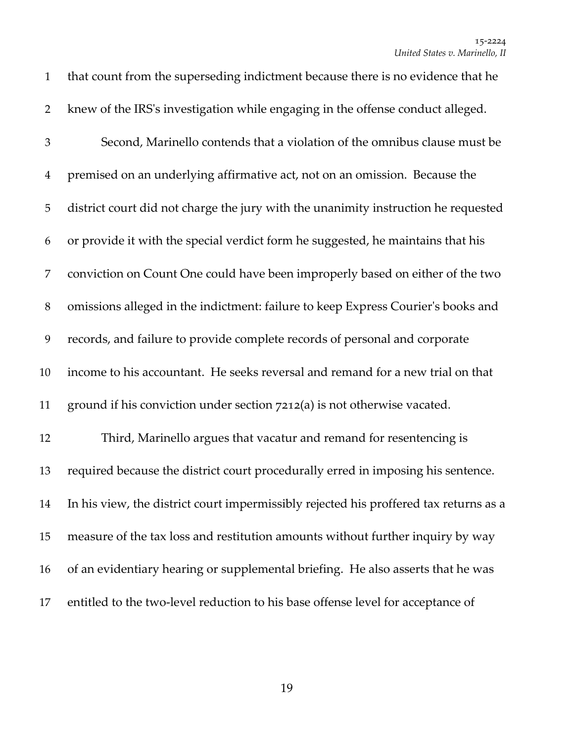| $\mathbf{1}$   | that count from the superseding indictment because there is no evidence that he       |
|----------------|---------------------------------------------------------------------------------------|
| $\overline{2}$ | knew of the IRS's investigation while engaging in the offense conduct alleged.        |
| $\mathfrak{Z}$ | Second, Marinello contends that a violation of the omnibus clause must be             |
| $\overline{4}$ | premised on an underlying affirmative act, not on an omission. Because the            |
| 5              | district court did not charge the jury with the unanimity instruction he requested    |
| 6              | or provide it with the special verdict form he suggested, he maintains that his       |
| 7              | conviction on Count One could have been improperly based on either of the two         |
| 8              | omissions alleged in the indictment: failure to keep Express Courier's books and      |
| 9              | records, and failure to provide complete records of personal and corporate            |
| 10             | income to his accountant. He seeks reversal and remand for a new trial on that        |
| 11             | ground if his conviction under section 7212(a) is not otherwise vacated.              |
| 12             | Third, Marinello argues that vacatur and remand for resentencing is                   |
| 13             | required because the district court procedurally erred in imposing his sentence.      |
| 14             | In his view, the district court impermissibly rejected his proffered tax returns as a |
| 15             | measure of the tax loss and restitution amounts without further inquiry by way        |
| 16             | of an evidentiary hearing or supplemental briefing. He also asserts that he was       |
| 17             | entitled to the two-level reduction to his base offense level for acceptance of       |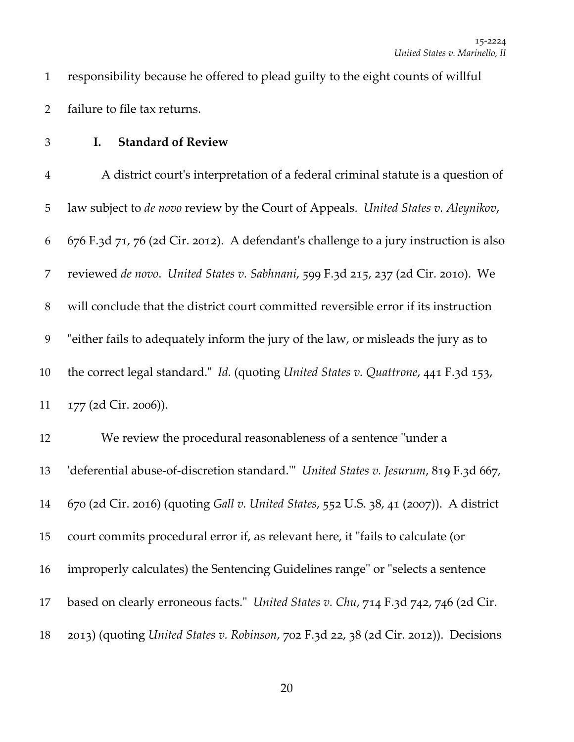- responsibility because he offered to plead guilty to the eight counts of willful failure to file tax returns.
- 

## **I. Standard of Review**

 A district courtʹs interpretation of a federal criminal statute is a question of law subject to *de novo* review by the Court of Appeals. *United States v. Aleynikov*, 676 F.3d 71, 76 (2d Cir. 2012). A defendantʹs challenge to a jury instruction is also reviewed *de novo*. *United States v. Sabhnani*, 599 F.3d 215, 237 (2d Cir. 2010). We will conclude that the district court committed reversible error if its instruction 9 "either fails to adequately inform the jury of the law, or misleads the jury as to the correct legal standard.ʺ *Id.* (quoting *United States v. Quattrone*, 441 F.3d 153, 177 (2d Cir. 2006)). 12 We review the procedural reasonableness of a sentence "under a ʹdeferential abuse‐of‐discretion standard.ʹʺ *United States v. Jesurum*, 819 F.3d 667, 670 (2d Cir. 2016) (quoting *Gall v. United States*, 552 U.S. 38, 41 (2007)). A district 15 court commits procedural error if, as relevant here, it "fails to calculate (or 16 improperly calculates) the Sentencing Guidelines range" or "selects a sentence 17 based on clearly erroneous facts." *United States v. Chu*, 714 F.3d 742, 746 (2d Cir.

2013) (quoting *United States v. Robinson*, 702 F.3d 22, 38 (2d Cir. 2012)). Decisions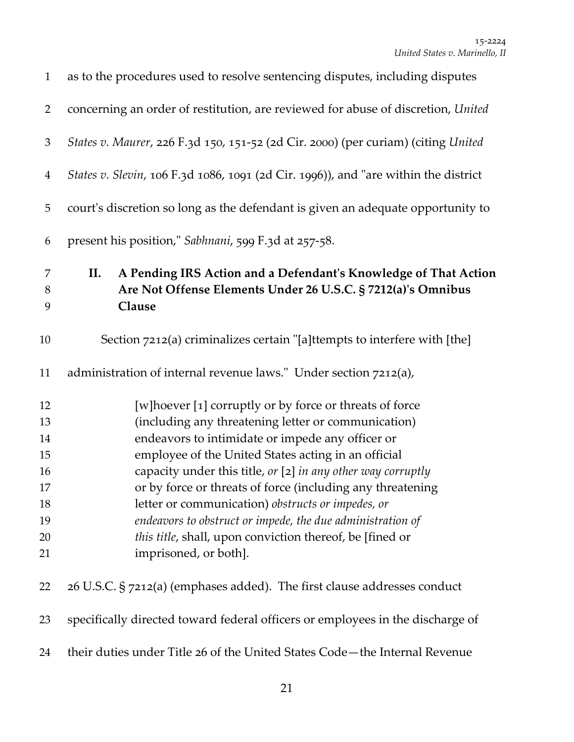| $\mathbf{1}$   | as to the procedures used to resolve sentencing disputes, including disputes        |
|----------------|-------------------------------------------------------------------------------------|
| $\overline{2}$ | concerning an order of restitution, are reviewed for abuse of discretion, United    |
| $\mathfrak{Z}$ | States v. Maurer, 226 F.3d 150, 151-52 (2d Cir. 2000) (per curiam) (citing United   |
| $\overline{4}$ | States v. Slevin, 106 F.3d 1086, 1091 (2d Cir. 1996)), and "are within the district |
| 5              | court's discretion so long as the defendant is given an adequate opportunity to     |
| 6              | present his position," Sabhnani, 599 F.3d at 257-58.                                |
| $\overline{7}$ | A Pending IRS Action and a Defendant's Knowledge of That Action<br>II.              |
| $8\,$          | Are Not Offense Elements Under 26 U.S.C. § 7212(a)'s Omnibus                        |
| 9              | Clause                                                                              |
| 10             | Section 7212(a) criminalizes certain "[a]ttempts to interfere with [the]            |
| 11             | administration of internal revenue laws." Under section 7212(a),                    |
| 12             | [w] hoever [1] corruptly or by force or threats of force                            |
| 13             | (including any threatening letter or communication)                                 |
| 14             | endeavors to intimidate or impede any officer or                                    |
| 15             | employee of the United States acting in an official                                 |
| 16             | capacity under this title, or [2] in any other way corruptly                        |
| 17             | or by force or threats of force (including any threatening                          |
| 18             | letter or communication) obstructs or impedes, or                                   |
| 19             | endeavors to obstruct or impede, the due administration of                          |
| 20             | this title, shall, upon conviction thereof, be [fined or                            |
| 21             | imprisoned, or both].                                                               |
| 22             | 26 U.S.C. § 7212(a) (emphases added). The first clause addresses conduct            |
| 23             | specifically directed toward federal officers or employees in the discharge of      |
| 24             | their duties under Title 26 of the United States Code-the Internal Revenue          |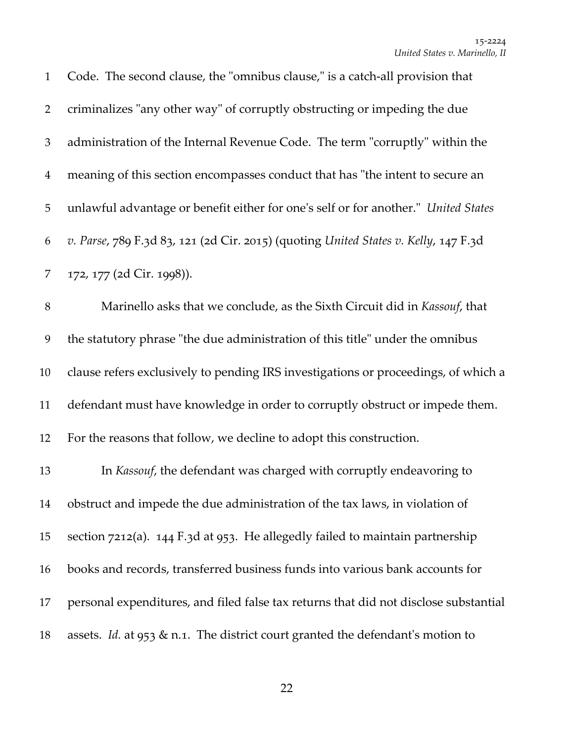| $\mathbf{1}$   | Code. The second clause, the "omnibus clause," is a catch-all provision that         |
|----------------|--------------------------------------------------------------------------------------|
| $\overline{2}$ | criminalizes "any other way" of corruptly obstructing or impeding the due            |
| $\mathfrak{Z}$ | administration of the Internal Revenue Code. The term "corruptly" within the         |
| $\overline{4}$ | meaning of this section encompasses conduct that has "the intent to secure an        |
| $\mathbf 5$    | unlawful advantage or benefit either for one's self or for another." United States   |
| 6              | v. Parse, 789 F.3d 83, 121 (2d Cir. 2015) (quoting United States v. Kelly, 147 F.3d  |
| 7              | 172, 177 (2d Cir. 1998)).                                                            |
| $8\,$          | Marinello asks that we conclude, as the Sixth Circuit did in Kassouf, that           |
| 9              | the statutory phrase "the due administration of this title" under the omnibus        |
| 10             | clause refers exclusively to pending IRS investigations or proceedings, of which a   |
| 11             | defendant must have knowledge in order to corruptly obstruct or impede them.         |
| 12             | For the reasons that follow, we decline to adopt this construction.                  |
| 13             | In Kassouf, the defendant was charged with corruptly endeavoring to                  |
| 14             | obstruct and impede the due administration of the tax laws, in violation of          |
| 15             | section 7212(a). 144 F.3d at 953. He allegedly failed to maintain partnership        |
| 16             | books and records, transferred business funds into various bank accounts for         |
| 17             | personal expenditures, and filed false tax returns that did not disclose substantial |
| 18             | assets. Id. at 953 & n.1. The district court granted the defendant's motion to       |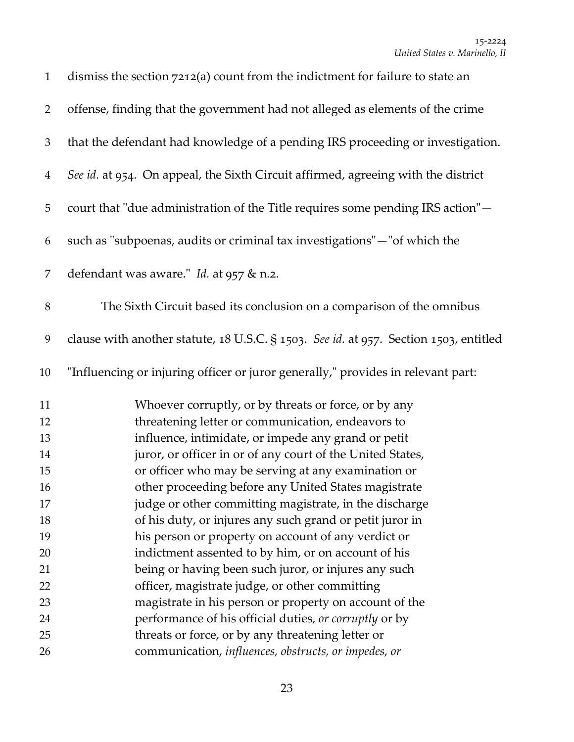| $\mathbf{1}$   | dismiss the section 7212(a) count from the indictment for failure to state an         |
|----------------|---------------------------------------------------------------------------------------|
| $\overline{2}$ | offense, finding that the government had not alleged as elements of the crime         |
| $\mathfrak{Z}$ | that the defendant had knowledge of a pending IRS proceeding or investigation.        |
| $\overline{4}$ | See id. at 954. On appeal, the Sixth Circuit affirmed, agreeing with the district     |
| 5              | court that "due administration of the Title requires some pending IRS action"-        |
| 6              | such as "subpoenas, audits or criminal tax investigations"-"of which the              |
| 7              | defendant was aware." Id. at 957 & n.2.                                               |
| $\, 8$         | The Sixth Circuit based its conclusion on a comparison of the omnibus                 |
| 9              | clause with another statute, 18 U.S.C. § 1503. See id. at 957. Section 1503, entitled |
| 10             | "Influencing or injuring officer or juror generally," provides in relevant part:      |
| 11             | Whoever corruptly, or by threats or force, or by any                                  |
| 12             | threatening letter or communication, endeavors to                                     |
| 13             | influence, intimidate, or impede any grand or petit                                   |
| 14             | juror, or officer in or of any court of the United States,                            |
| 15             | or officer who may be serving at any examination or                                   |
| 16             | other proceeding before any United States magistrate                                  |
| 17             | judge or other committing magistrate, in the discharge                                |
| 18             | of his duty, or injures any such grand or petit juror in                              |
| 19             | his person or property on account of any verdict or                                   |
| 20             | indictment assented to by him, or on account of his                                   |
| 21             | being or having been such juror, or injures any such                                  |
| 22             | officer, magistrate judge, or other committing                                        |
| 23             | magistrate in his person or property on account of the                                |
| 24             | performance of his official duties, or corruptly or by                                |
| 25             | threats or force, or by any threatening letter or                                     |
| 26             | communication, influences, obstructs, or impedes, or                                  |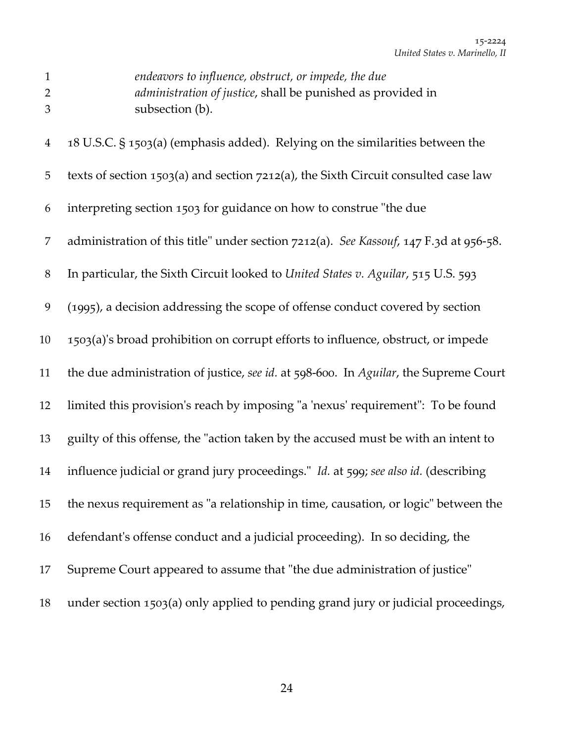| $\mathbf{1}$<br>$\overline{2}$<br>3 | endeavors to influence, obstruct, or impede, the due<br>administration of justice, shall be punished as provided in<br>subsection (b). |
|-------------------------------------|----------------------------------------------------------------------------------------------------------------------------------------|
| $\overline{4}$                      | 18 U.S.C. § 1503(a) (emphasis added). Relying on the similarities between the                                                          |
| 5                                   | texts of section 1503(a) and section 7212(a), the Sixth Circuit consulted case law                                                     |
| 6                                   | interpreting section 1503 for guidance on how to construe "the due                                                                     |
| 7                                   | administration of this title" under section 7212(a). See Kassouf, 147 F.3d at 956-58.                                                  |
| $8\,$                               | In particular, the Sixth Circuit looked to United States v. Aguilar, 515 U.S. 593                                                      |
| 9                                   | (1995), a decision addressing the scope of offense conduct covered by section                                                          |
| 10                                  | 1503(a)'s broad prohibition on corrupt efforts to influence, obstruct, or impede                                                       |
| 11                                  | the due administration of justice, see id. at 598-600. In Aguilar, the Supreme Court                                                   |
| 12                                  | limited this provision's reach by imposing "a 'nexus' requirement": To be found                                                        |
| 13                                  | guilty of this offense, the "action taken by the accused must be with an intent to                                                     |
| 14                                  | influence judicial or grand jury proceedings." Id. at 599; see also id. (describing                                                    |
| 15                                  | the nexus requirement as "a relationship in time, causation, or logic" between the                                                     |
| 16                                  | defendant's offense conduct and a judicial proceeding). In so deciding, the                                                            |
| 17                                  | Supreme Court appeared to assume that "the due administration of justice"                                                              |
| 18                                  | under section 1503(a) only applied to pending grand jury or judicial proceedings,                                                      |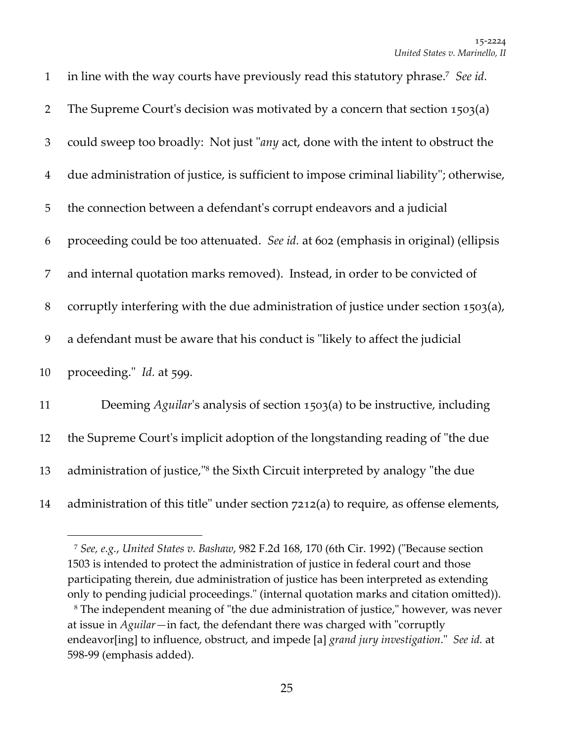| $\mathbf{1}$   | in line with the way courts have previously read this statutory phrase. <sup>7</sup> See id. |
|----------------|----------------------------------------------------------------------------------------------|
| $\overline{2}$ | The Supreme Court's decision was motivated by a concern that section 1503(a)                 |
| 3              | could sweep too broadly: Not just "any act, done with the intent to obstruct the             |
| $\overline{4}$ | due administration of justice, is sufficient to impose criminal liability"; otherwise,       |
| 5              | the connection between a defendant's corrupt endeavors and a judicial                        |
| 6              | proceeding could be too attenuated. See id. at 602 (emphasis in original) (ellipsis          |
| 7              | and internal quotation marks removed). Instead, in order to be convicted of                  |
| $8\phantom{1}$ | corruptly interfering with the due administration of justice under section 1503(a),          |
| 9              | a defendant must be aware that his conduct is "likely to affect the judicial                 |
| 10             | proceeding." Id. at 599.                                                                     |
| 11             | Deeming Aguilar's analysis of section 1503(a) to be instructive, including                   |
| 12             | the Supreme Court's implicit adoption of the longstanding reading of "the due                |
| 13             | administration of justice," <sup>8</sup> the Sixth Circuit interpreted by analogy "the due   |
| 14             | administration of this title" under section 7212(a) to require, as offense elements,         |

 *See, e.g.*, *United States v. Bashaw*, 982 F.2d 168, 170 (6th Cir. 1992) (ʺBecause section is intended to protect the administration of justice in federal court and those participating therein, due administration of justice has been interpreted as extending only to pending judicial proceedings." (internal quotation marks and citation omitted)).

<sup>&</sup>lt;sup>8</sup> The independent meaning of "the due administration of justice," however, was never at issue in *Aguilar*—in fact, the defendant there was charged with "corruptly endeavor[ing] to influence, obstruct, and impede [a] *grand jury investigation*.ʺ *See id.* at ‐99 (emphasis added).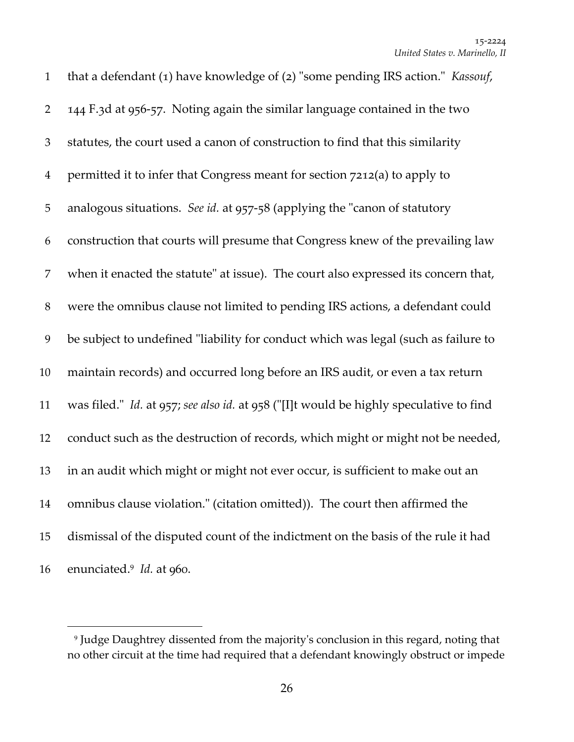| $\mathbf{1}$   | that a defendant (1) have knowledge of (2) "some pending IRS action." Kassouf,         |
|----------------|----------------------------------------------------------------------------------------|
| $\overline{2}$ | 144 F.3d at 956-57. Noting again the similar language contained in the two             |
| $\mathfrak{Z}$ | statutes, the court used a canon of construction to find that this similarity          |
| $\overline{4}$ | permitted it to infer that Congress meant for section 7212(a) to apply to              |
| 5              | analogous situations. See id. at 957-58 (applying the "canon of statutory              |
| 6              | construction that courts will presume that Congress knew of the prevailing law         |
| 7              | when it enacted the statute" at issue). The court also expressed its concern that,     |
| $8\,$          | were the omnibus clause not limited to pending IRS actions, a defendant could          |
| 9              | be subject to undefined "liability for conduct which was legal (such as failure to     |
| 10             | maintain records) and occurred long before an IRS audit, or even a tax return          |
| 11             | was filed." Id. at 957; see also id. at 958 ("[I]t would be highly speculative to find |
| 12             | conduct such as the destruction of records, which might or might not be needed,        |
| 13             | in an audit which might or might not ever occur, is sufficient to make out an          |
| 14             | omnibus clause violation." (citation omitted)). The court then affirmed the            |
| 15             | dismissal of the disputed count of the indictment on the basis of the rule it had      |
| 16             | enunciated. <sup>9</sup> <i>Id.</i> at 960.                                            |

<sup>&</sup>lt;sup>9</sup> Judge Daughtrey dissented from the majority's conclusion in this regard, noting that no other circuit at the time had required that a defendant knowingly obstruct or impede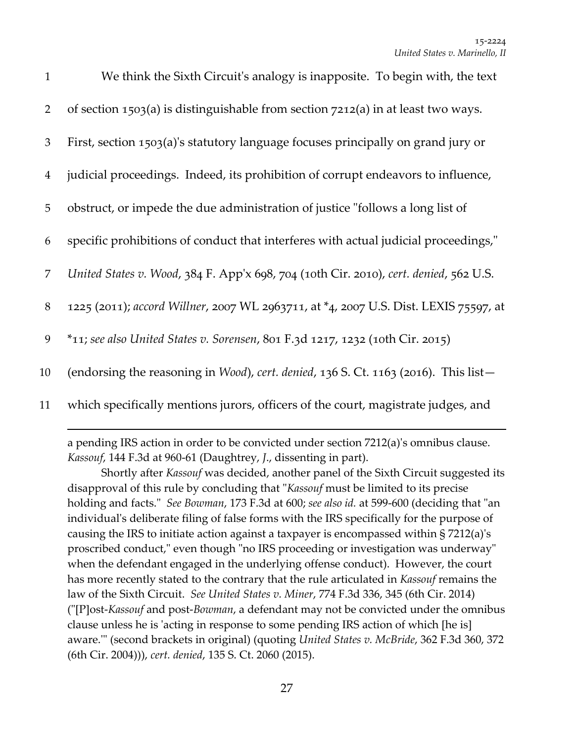| $\mathbf{1}$   | We think the Sixth Circuit's analogy is inapposite. To begin with, the text           |
|----------------|---------------------------------------------------------------------------------------|
| $\overline{2}$ | of section 1503(a) is distinguishable from section $7212(a)$ in at least two ways.    |
| 3              | First, section 1503(a)'s statutory language focuses principally on grand jury or      |
| $\overline{4}$ | judicial proceedings. Indeed, its prohibition of corrupt endeavors to influence,      |
| 5              | obstruct, or impede the due administration of justice "follows a long list of         |
| 6              | specific prohibitions of conduct that interferes with actual judicial proceedings,"   |
| 7              | United States v. Wood, 384 F. App'x 698, 704 (10th Cir. 2010), cert. denied, 562 U.S. |
| 8              | 1225 (2011); accord Willner, 2007 WL 2963711, at *4, 2007 U.S. Dist. LEXIS 75597, at  |
| 9              | $*$ 11; see also United States v. Sorensen, 801 F.3d 1217, 1232 (10th Cir. 2015)      |
| 10             | (endorsing the reasoning in Wood), cert. denied, 136 S. Ct. 1163 (2016). This list-   |
| 11             | which specifically mentions jurors, officers of the court, magistrate judges, and     |

a pending IRS action in order to be convicted under section 7212(a)ʹs omnibus clause. *Kassouf*, 144 F.3d at 960‐61 (Daughtrey, *J*., dissenting in part).

<u> 1989 - Johann Stein, marwolaethau a gweledydd a ganlad y ganlad y ganlad y ganlad y ganlad y ganlad y ganlad</u>

Shortly after *Kassouf* was decided, another panel of the Sixth Circuit suggested its disapproval of this rule by concluding that "*Kassouf* must be limited to its precise holding and facts." *See Bowman*, 173 F.3d at 600; *see also id.* at 599-600 (deciding that "an individual's deliberate filing of false forms with the IRS specifically for the purpose of causing the IRS to initiate action against a taxpayer is encompassed within § 7212(a)ʹs proscribed conduct," even though "no IRS proceeding or investigation was underway" when the defendant engaged in the underlying offense conduct). However, the court has more recently stated to the contrary that the rule articulated in *Kassouf* remains the law of the Sixth Circuit. *See United States v. Miner*, 774 F.3d 336, 345 (6th Cir. 2014) (ʺ[P]ost‐*Kassouf* and post‐*Bowman*, a defendant may not be convicted under the omnibus clause unless he is 'acting in response to some pending IRS action of which [he is] aware.ʹʺ (second brackets in original) (quoting *United States v. McBride*, 362 F.3d 360, 372 (6th Cir. 2004))), *cert. denied*, 135 S. Ct. 2060 (2015).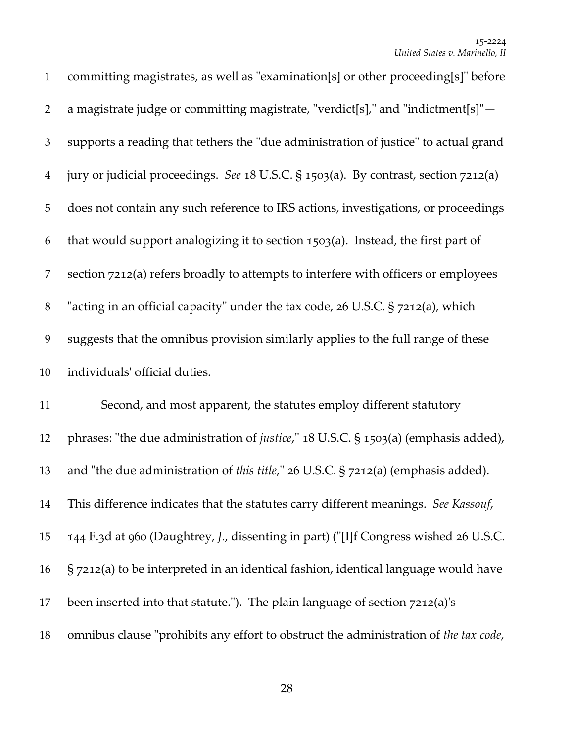| $\mathbf{1}$   | committing magistrates, as well as "examination[s] or other proceeding[s]" before           |
|----------------|---------------------------------------------------------------------------------------------|
| $\overline{2}$ | a magistrate judge or committing magistrate, "verdict[s]," and "indictment[s]" $-$          |
| 3              | supports a reading that tethers the "due administration of justice" to actual grand         |
| $\overline{4}$ | jury or judicial proceedings. See 18 U.S.C. § 1503(a). By contrast, section 7212(a)         |
| 5              | does not contain any such reference to IRS actions, investigations, or proceedings          |
| 6              | that would support analogizing it to section 1503(a). Instead, the first part of            |
| 7              | section 7212(a) refers broadly to attempts to interfere with officers or employees          |
| $8\,$          | "acting in an official capacity" under the tax code, 26 U.S.C. § 7212(a), which             |
| 9              | suggests that the omnibus provision similarly applies to the full range of these            |
| 10             | individuals' official duties.                                                               |
| 11             | Second, and most apparent, the statutes employ different statutory                          |
| 12             | phrases: "the due administration of <i>justice</i> ," 18 U.S.C. § 1503(a) (emphasis added), |
| 13             | and "the due administration of this title," 26 U.S.C. § 7212(a) (emphasis added).           |
| 14             | This difference indicates that the statutes carry different meanings. See Kassouf,          |
| 15             | 144 F.3d at 960 (Daughtrey, J., dissenting in part) ("[I]f Congress wished 26 U.S.C.        |
| 16             | § 7212(a) to be interpreted in an identical fashion, identical language would have          |
| 17             | been inserted into that statute."). The plain language of section 7212(a)'s                 |
| 18             | omnibus clause "prohibits any effort to obstruct the administration of the tax code,        |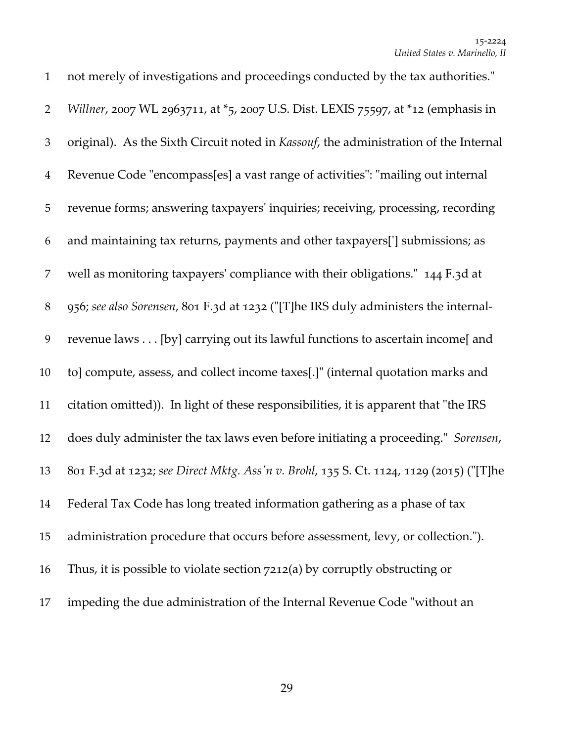| $\mathbf{1}$   | not merely of investigations and proceedings conducted by the tax authorities."         |
|----------------|-----------------------------------------------------------------------------------------|
| $\overline{2}$ | Willner, 2007 WL 2963711, at *5, 2007 U.S. Dist. LEXIS 75597, at *12 (emphasis in       |
| $\mathfrak{Z}$ | original). As the Sixth Circuit noted in Kassouf, the administration of the Internal    |
| $\overline{4}$ | Revenue Code "encompass[es] a vast range of activities": "mailing out internal          |
| $\mathbf 5$    | revenue forms; answering taxpayers' inquiries; receiving, processing, recording         |
| 6              | and maintaining tax returns, payments and other taxpayers['] submissions; as            |
| 7              | well as monitoring taxpayers' compliance with their obligations." 144 F.3d at           |
| $8\,$          | 956; see also Sorensen, 801 F.3d at 1232 ("[T]he IRS duly administers the internal-     |
| 9              | revenue laws [by] carrying out its lawful functions to ascertain income[ and            |
| 10             | to] compute, assess, and collect income taxes[.]" (internal quotation marks and         |
| 11             | citation omitted)). In light of these responsibilities, it is apparent that "the IRS    |
| 12             | does duly administer the tax laws even before initiating a proceeding." Sorensen,       |
| 13             | 801 F.3d at 1232; see Direct Mktg. Ass'n v. Brohl, 135 S. Ct. 1124, 1129 (2015) ("[T]he |
| 14             | Federal Tax Code has long treated information gathering as a phase of tax               |
| 15             | administration procedure that occurs before assessment, levy, or collection.").         |
| 16             | Thus, it is possible to violate section $7212(a)$ by corruptly obstructing or           |
| 17             | impeding the due administration of the Internal Revenue Code "without an                |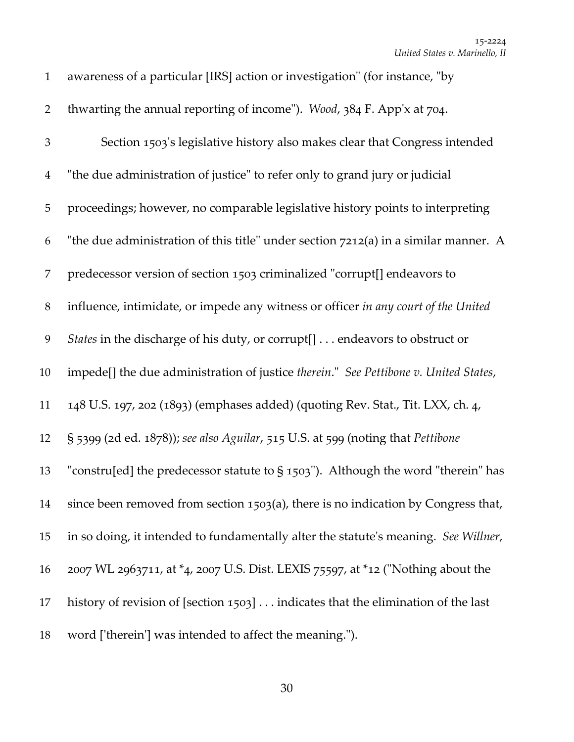| $\mathbf{1}$   | awareness of a particular [IRS] action or investigation" (for instance, "by          |
|----------------|--------------------------------------------------------------------------------------|
| $\overline{2}$ | thwarting the annual reporting of income"). Wood, 384 F. App'x at 704.               |
| $\mathfrak{Z}$ | Section 1503's legislative history also makes clear that Congress intended           |
| $\overline{4}$ | "the due administration of justice" to refer only to grand jury or judicial          |
| 5              | proceedings; however, no comparable legislative history points to interpreting       |
| 6              | "the due administration of this title" under section 7212(a) in a similar manner. A  |
| 7              | predecessor version of section 1503 criminalized "corrupt[] endeavors to             |
| $8\,$          | influence, intimidate, or impede any witness or officer in any court of the United   |
| 9              | States in the discharge of his duty, or corrupt[] endeavors to obstruct or           |
| 10             | impede[] the due administration of justice therein." See Pettibone v. United States, |
| 11             | 148 U.S. 197, 202 (1893) (emphases added) (quoting Rev. Stat., Tit. LXX, ch. 4,      |
| 12             | § 5399 (2d ed. 1878)); see also Aguilar, 515 U.S. at 599 (noting that Pettibone      |
| 13             | "constru[ed] the predecessor statute to $\S$ 1503"). Although the word "therein" has |
| 14             | since been removed from section 1503(a), there is no indication by Congress that,    |
| 15             | in so doing, it intended to fundamentally alter the statute's meaning. See Willner,  |
| 16             | 2007 WL 2963711, at *4, 2007 U.S. Dist. LEXIS 75597, at *12 ("Nothing about the      |
| 17             | history of revision of [section 1503] indicates that the elimination of the last     |
| 18             | word ['therein'] was intended to affect the meaning.").                              |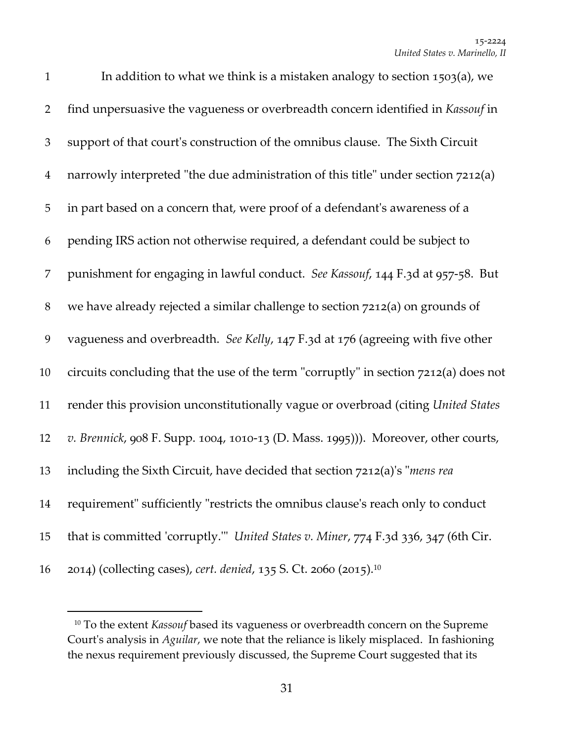| $\mathbf{1}$   | In addition to what we think is a mistaken analogy to section 1503(a), we            |
|----------------|--------------------------------------------------------------------------------------|
| $\overline{2}$ | find unpersuasive the vagueness or overbreadth concern identified in Kassouf in      |
| 3              | support of that court's construction of the omnibus clause. The Sixth Circuit        |
| $\overline{4}$ | narrowly interpreted "the due administration of this title" under section 7212(a)    |
| 5              | in part based on a concern that, were proof of a defendant's awareness of a          |
| 6              | pending IRS action not otherwise required, a defendant could be subject to           |
| 7              | punishment for engaging in lawful conduct. See Kassouf, 144 F.3d at 957-58. But      |
| $8\,$          | we have already rejected a similar challenge to section 7212(a) on grounds of        |
| 9              | vagueness and overbreadth. See Kelly, 147 F.3d at 176 (agreeing with five other      |
| 10             | circuits concluding that the use of the term "corruptly" in section 7212(a) does not |
| 11             | render this provision unconstitutionally vague or overbroad (citing United States    |
| 12             | v. Brennick, 908 F. Supp. 1004, 1010-13 (D. Mass. 1995))). Moreover, other courts,   |
| 13             | including the Sixth Circuit, have decided that section 7212(a)'s "mens rea           |
| 14             | requirement" sufficiently "restricts the omnibus clause's reach only to conduct      |
| 15             | that is committed 'corruptly." United States v. Miner, 774 F.3d 336, 347 (6th Cir.   |
| 16             | 2014) (collecting cases), cert. denied, 135 S. Ct. 2060 (2015). <sup>10</sup>        |

<sup>&</sup>lt;sup>10</sup> To the extent *Kassouf* based its vagueness or overbreadth concern on the Supreme Court's analysis in *Aguilar*, we note that the reliance is likely misplaced. In fashioning the nexus requirement previously discussed, the Supreme Court suggested that its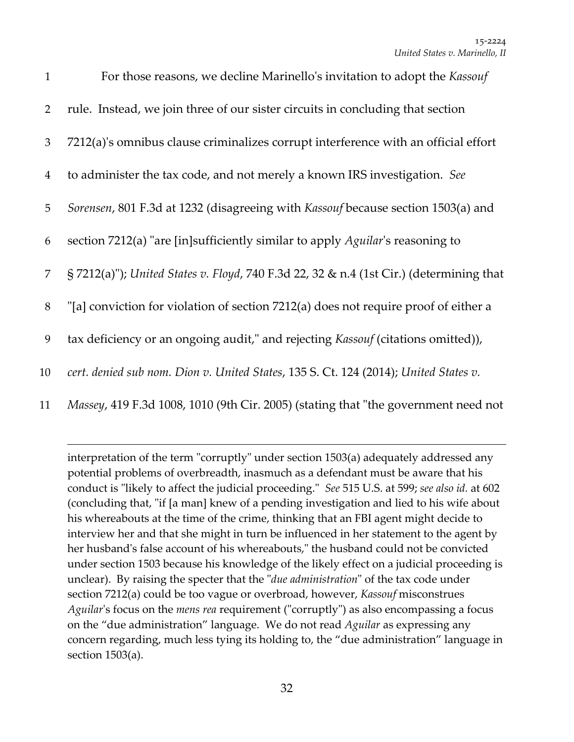| $\mathbf{1}$   | For those reasons, we decline Marinello's invitation to adopt the Kassouf               |
|----------------|-----------------------------------------------------------------------------------------|
| 2              | rule. Instead, we join three of our sister circuits in concluding that section          |
| 3              | 7212(a)'s omnibus clause criminalizes corrupt interference with an official effort      |
| $\overline{4}$ | to administer the tax code, and not merely a known IRS investigation. See               |
| 5              | Sorensen, 801 F.3d at 1232 (disagreeing with Kassouf because section 1503(a) and        |
| 6              | section 7212(a) "are [in]sufficiently similar to apply Aguilar's reasoning to           |
| $\overline{7}$ | § 7212(a)"); United States v. Floyd, 740 F.3d 22, 32 & n.4 (1st Cir.) (determining that |
| $8\,$          | "[a] conviction for violation of section 7212(a) does not require proof of either a     |
| 9              | tax deficiency or an ongoing audit," and rejecting <i>Kassouf</i> (citations omitted)), |
| 10             | cert. denied sub nom. Dion v. United States, 135 S. Ct. 124 (2014); United States v.    |
|                |                                                                                         |

11 *Massey,* 419 F.3d 1008, 1010 (9th Cir. 2005) (stating that "the government need not

<u> 1989 - Johann Stoff, amerikansk politiker (d. 1989)</u>

interpretation of the term "corruptly" under section 1503(a) adequately addressed any potential problems of overbreadth, inasmuch as a defendant must be aware that his conduct is "likely to affect the judicial proceeding." *See* 515 U.S. at 599; *see also id.* at 602 (concluding that, "if [a man] knew of a pending investigation and lied to his wife about his whereabouts at the time of the crime, thinking that an FBI agent might decide to interview her and that she might in turn be influenced in her statement to the agent by her husband's false account of his whereabouts," the husband could not be convicted under section 1503 because his knowledge of the likely effect on a judicial proceeding is unclear). By raising the specter that the "*due administration*" of the tax code under section 7212(a) could be too vague or overbroad, however, *Kassouf* misconstrues *Aguilar's* focus on the *mens rea* requirement ("corruptly") as also encompassing a focus on the "due administration" language. We do not read *Aguilar* as expressing any concern regarding, much less tying its holding to, the "due administration" language in section 1503(a).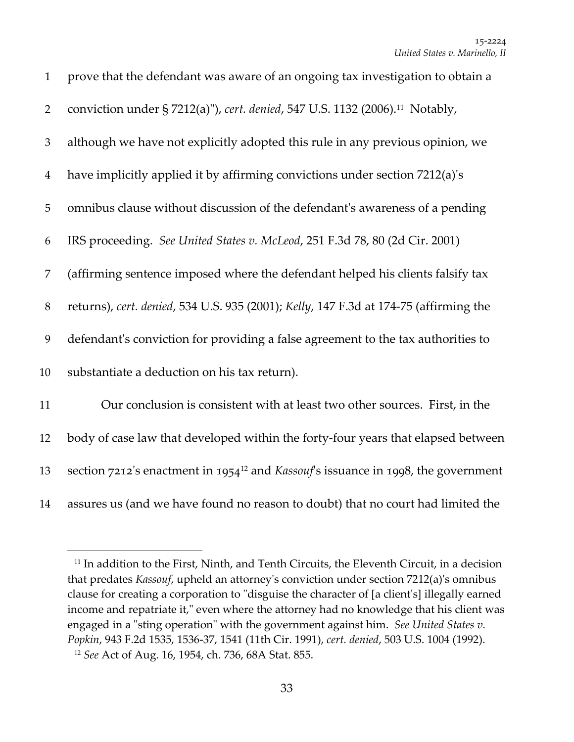| $\mathbf{1}$   | prove that the defendant was aware of an ongoing tax investigation to obtain a                |
|----------------|-----------------------------------------------------------------------------------------------|
| $\overline{2}$ | conviction under § 7212(a)"), cert. denied, 547 U.S. 1132 (2006). <sup>11</sup> Notably,      |
| 3              | although we have not explicitly adopted this rule in any previous opinion, we                 |
| $\overline{4}$ | have implicitly applied it by affirming convictions under section 7212(a)'s                   |
| 5              | omnibus clause without discussion of the defendant's awareness of a pending                   |
| 6              | IRS proceeding. See United States v. McLeod, 251 F.3d 78, 80 (2d Cir. 2001)                   |
| 7              | (affirming sentence imposed where the defendant helped his clients falsify tax                |
| $8\,$          | returns), cert. denied, 534 U.S. 935 (2001); Kelly, 147 F.3d at 174-75 (affirming the         |
| 9              | defendant's conviction for providing a false agreement to the tax authorities to              |
| 10             | substantiate a deduction on his tax return).                                                  |
| 11             | Our conclusion is consistent with at least two other sources. First, in the                   |
| 12             | body of case law that developed within the forty-four years that elapsed between              |
| 13             | section 7212's enactment in 1954 <sup>12</sup> and Kassouf's issuance in 1998, the government |
| 14             | assures us (and we have found no reason to doubt) that no court had limited the               |

 In addition to the First, Ninth, and Tenth Circuits, the Eleventh Circuit, in a decision that predates *Kassouf*, upheld an attorneyʹs conviction under section 7212(a)ʹs omnibus clause for creating a corporation to "disguise the character of [a client's] illegally earned income and repatriate it," even where the attorney had no knowledge that his client was engaged in a "sting operation" with the government against him. See United States v. *Popkin*, 943 F.2d 1535, 1536‐37, 1541 (11th Cir. 1991), *cert. denied*, 503 U.S. 1004 (1992). *See* Act of Aug. 16, 1954, ch. 736, 68A Stat. 855.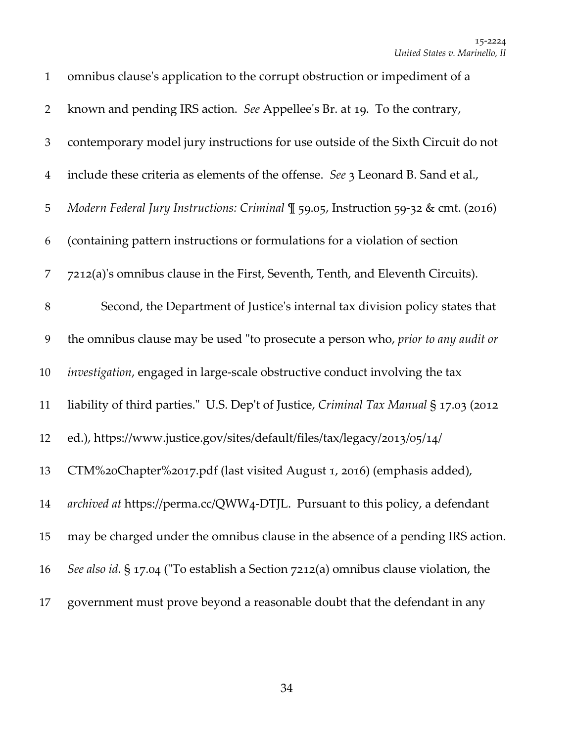| $\mathbf{1}$   | omnibus clause's application to the corrupt obstruction or impediment of a            |
|----------------|---------------------------------------------------------------------------------------|
| $\overline{2}$ | known and pending IRS action. See Appellee's Br. at 19. To the contrary,              |
| $\mathfrak{Z}$ | contemporary model jury instructions for use outside of the Sixth Circuit do not      |
| $\overline{4}$ | include these criteria as elements of the offense. See 3 Leonard B. Sand et al.,      |
| 5              | Modern Federal Jury Instructions: Criminal ¶ 59.05, Instruction 59-32 & cmt. (2016)   |
| 6              | (containing pattern instructions or formulations for a violation of section           |
| 7              | 7212(a)'s omnibus clause in the First, Seventh, Tenth, and Eleventh Circuits).        |
| $8\,$          | Second, the Department of Justice's internal tax division policy states that          |
| 9              | the omnibus clause may be used "to prosecute a person who, prior to any audit or      |
| 10             | investigation, engaged in large-scale obstructive conduct involving the tax           |
| 11             | liability of third parties." U.S. Dep't of Justice, Criminal Tax Manual § 17.03 (2012 |
| 12             | ed.), https://www.justice.gov/sites/default/files/tax/legacy/2013/05/14/              |
| 13             | CTM%20Chapter%2017.pdf (last visited August 1, 2016) (emphasis added),                |
| 14             | archived at https://perma.cc/QWW4-DTJL. Pursuant to this policy, a defendant          |
| 15             | may be charged under the omnibus clause in the absence of a pending IRS action.       |
| 16             | See also id. § 17.04 ("To establish a Section 7212(a) omnibus clause violation, the   |
| 17             | government must prove beyond a reasonable doubt that the defendant in any             |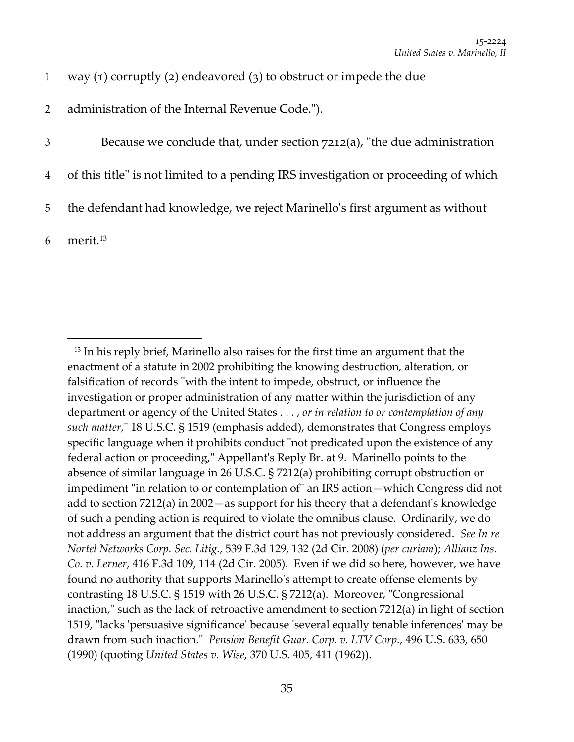|  |  |  |  | way $(1)$ corruptly $(2)$ endeavored $(3)$ to obstruct or impede the due |  |  |  |  |  |  |
|--|--|--|--|--------------------------------------------------------------------------|--|--|--|--|--|--|
|--|--|--|--|--------------------------------------------------------------------------|--|--|--|--|--|--|

2 administration of the Internal Revenue Code.").

3 Because we conclude that, under section  $7212(a)$ , "the due administration

- 4 of this title" is not limited to a pending IRS investigation or proceeding of which
- 5 the defendant had knowledge, we reject Marinelloʹs first argument as without

 $6$  merit.<sup>13</sup>

<sup>&</sup>lt;sup>13</sup> In his reply brief, Marinello also raises for the first time an argument that the enactment of a statute in 2002 prohibiting the knowing destruction, alteration, or falsification of records "with the intent to impede, obstruct, or influence the investigation or proper administration of any matter within the jurisdiction of any department or agency of the United States . . . , *or in relation to or contemplation of any such matter*,ʺ 18 U.S.C. § 1519 (emphasis added), demonstrates that Congress employs specific language when it prohibits conduct "not predicated upon the existence of any federal action or proceeding," Appellant's Reply Br. at 9. Marinello points to the absence of similar language in 26 U.S.C. § 7212(a) prohibiting corrupt obstruction or impediment "in relation to or contemplation of" an IRS action—which Congress did not add to section 7212(a) in 2002—as support for his theory that a defendantʹs knowledge of such a pending action is required to violate the omnibus clause. Ordinarily, we do not address an argument that the district court has not previously considered. *See In re Nortel Networks Corp. Sec. Litig.*, 539 F.3d 129, 132 (2d Cir. 2008) (*per curiam*); *Allianz Ins. Co. v. Lerner*, 416 F.3d 109, 114 (2d Cir. 2005). Even if we did so here, however, we have found no authority that supports Marinelloʹs attempt to create offense elements by contrasting 18 U.S.C.  $\S$  1519 with 26 U.S.C.  $\S$  7212(a). Moreover, "Congressional inaction, $\alpha$  such as the lack of retroactive amendment to section 7212(a) in light of section 1519, "lacks 'persuasive significance' because 'several equally tenable inferences' may be drawn from such inaction.ʺ *Pension Benefit Guar. Corp. v. LTV Corp.*, 496 U.S. 633, 650 (1990) (quoting *United States v. Wise*, 370 U.S. 405, 411 (1962)).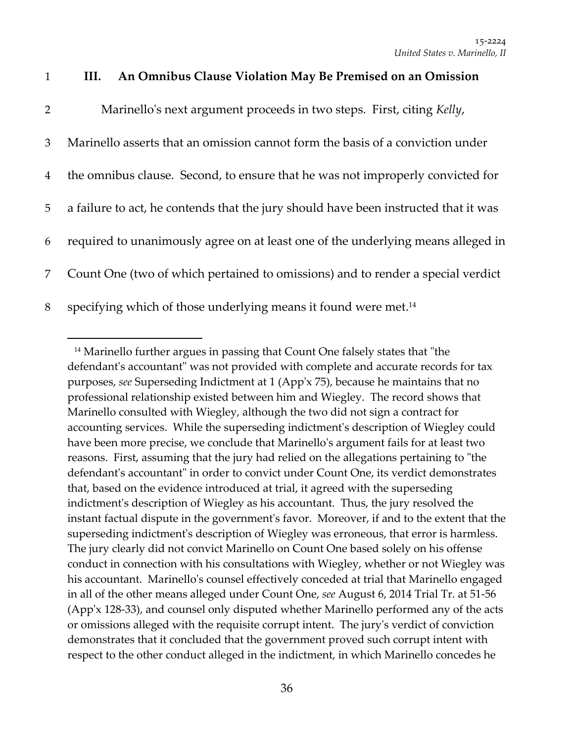| An Omnibus Clause Violation May Be Premised on an Omission |  |
|------------------------------------------------------------|--|
|------------------------------------------------------------|--|

| $\overline{2}$ | Marinello's next argument proceeds in two steps. First, citing Kelly,               |
|----------------|-------------------------------------------------------------------------------------|
| 3              | Marinello asserts that an omission cannot form the basis of a conviction under      |
| $\overline{4}$ | the omnibus clause. Second, to ensure that he was not improperly convicted for      |
| 5              | a failure to act, he contends that the jury should have been instructed that it was |
| 6              | required to unanimously agree on at least one of the underlying means alleged in    |
| $\overline{7}$ | Count One (two of which pertained to omissions) and to render a special verdict     |
| 8              | specifying which of those underlying means it found were met. <sup>14</sup>         |

 $14$  Marinello further argues in passing that Count One falsely states that "the defendant's accountant" was not provided with complete and accurate records for tax purposes, *see* Superseding Indictment at 1 (Appʹx 75), because he maintains that no professional relationship existed between him and Wiegley. The record shows that Marinello consulted with Wiegley, although the two did not sign a contract for accounting services. While the superseding indictmentʹs description of Wiegley could have been more precise, we conclude that Marinelloʹs argument fails for at least two reasons. First, assuming that the jury had relied on the allegations pertaining to "the defendant's accountant" in order to convict under Count One, its verdict demonstrates that, based on the evidence introduced at trial, it agreed with the superseding indictment's description of Wiegley as his accountant. Thus, the jury resolved the instant factual dispute in the governmentʹs favor. Moreover, if and to the extent that the superseding indictmentʹs description of Wiegley was erroneous, that error is harmless. The jury clearly did not convict Marinello on Count One based solely on his offense conduct in connection with his consultations with Wiegley, whether or not Wiegley was his accountant. Marinello's counsel effectively conceded at trial that Marinello engaged in all of the other means alleged under Count One, *see* August 6, 2014 Trial Tr. at 51‐56 (Appʹx 128‐33), and counsel only disputed whether Marinello performed any of the acts or omissions alleged with the requisite corrupt intent. The juryʹs verdict of conviction demonstrates that it concluded that the government proved such corrupt intent with respect to the other conduct alleged in the indictment, in which Marinello concedes he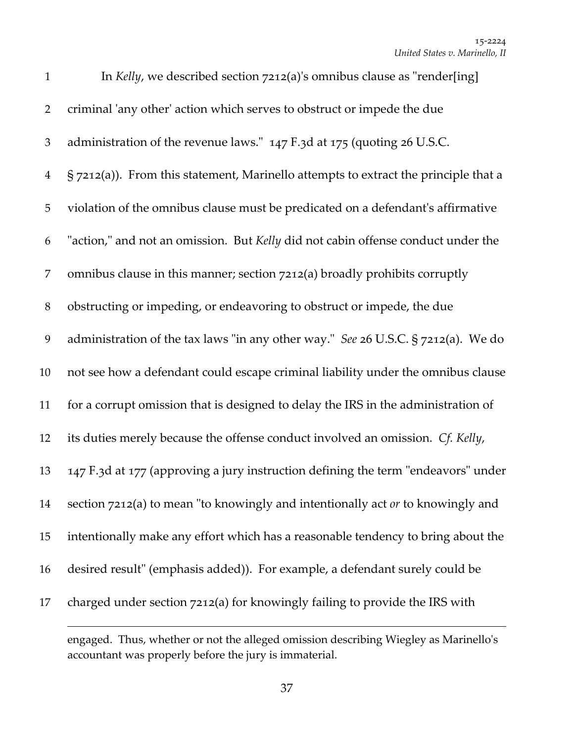| $\mathbf{1}$   | In Kelly, we described section 7212(a)'s omnibus clause as "render[ing]                |
|----------------|----------------------------------------------------------------------------------------|
| $\overline{2}$ | criminal 'any other' action which serves to obstruct or impede the due                 |
| 3              | administration of the revenue laws." 147 F.3d at 175 (quoting 26 U.S.C.                |
| $\overline{4}$ | $\S$ 7212(a)). From this statement, Marinello attempts to extract the principle that a |
| 5              | violation of the omnibus clause must be predicated on a defendant's affirmative        |
| 6              | "action," and not an omission. But Kelly did not cabin offense conduct under the       |
| 7              | omnibus clause in this manner; section 7212(a) broadly prohibits corruptly             |
| $8\,$          | obstructing or impeding, or endeavoring to obstruct or impede, the due                 |
| 9              | administration of the tax laws "in any other way." See 26 U.S.C. § 7212(a). We do      |
| 10             | not see how a defendant could escape criminal liability under the omnibus clause       |
| 11             | for a corrupt omission that is designed to delay the IRS in the administration of      |
| 12             | its duties merely because the offense conduct involved an omission. Cf. Kelly,         |
| 13             | 147 F.3d at 177 (approving a jury instruction defining the term "endeavors" under      |
| 14             | section 7212(a) to mean "to knowingly and intentionally act or to knowingly and        |
| 15             | intentionally make any effort which has a reasonable tendency to bring about the       |
| 16             | desired result" (emphasis added)). For example, a defendant surely could be            |
| 17             | charged under section 7212(a) for knowingly failing to provide the IRS with            |
|                |                                                                                        |

engaged. Thus, whether or not the alleged omission describing Wiegley as Marinelloʹs accountant was properly before the jury is immaterial.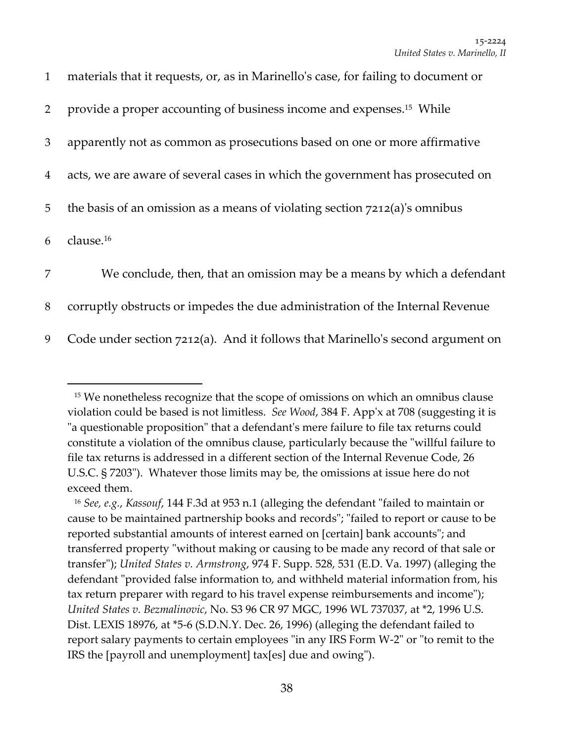| $\mathbf{1}$   | materials that it requests, or, as in Marinello's case, for failing to document or |
|----------------|------------------------------------------------------------------------------------|
| $\overline{2}$ | provide a proper accounting of business income and expenses. <sup>15</sup> While   |
| $\mathfrak{Z}$ | apparently not as common as prosecutions based on one or more affirmative          |
| $\overline{4}$ | acts, we are aware of several cases in which the government has prosecuted on      |
| 5              | the basis of an omission as a means of violating section $7212(a)$ 's omnibus      |
| 6              | clause. <sup>16</sup>                                                              |
| $\overline{7}$ | We conclude, then, that an omission may be a means by which a defendant            |
| 8              | corruptly obstructs or impedes the due administration of the Internal Revenue      |
| 9              | Code under section 7212(a). And it follows that Marinello's second argument on     |

<sup>&</sup>lt;sup>15</sup> We nonetheless recognize that the scope of omissions on which an omnibus clause violation could be based is not limitless. *See Wood*, 384 F. Appʹx at 708 (suggesting it is "a questionable proposition" that a defendant's mere failure to file tax returns could constitute a violation of the omnibus clause, particularly because the "willful failure to file tax returns is addressed in a different section of the Internal Revenue Code, 26 U.S.C. § 7203"). Whatever those limits may be, the omissions at issue here do not exceed them.

<sup>&</sup>lt;sup>16</sup> *See, e.g., Kassouf,* 144 F.3d at 953 n.1 (alleging the defendant "failed to maintain or cause to be maintained partnership books and records"; "failed to report or cause to be reported substantial amounts of interest earned on [certain] bank accounts"; and transferred property "without making or causing to be made any record of that sale or transferʺ); *United States v. Armstrong*, 974 F. Supp. 528, 531 (E.D. Va. 1997) (alleging the defendant "provided false information to, and withheld material information from, his tax return preparer with regard to his travel expense reimbursements and income"); *United States v. Bezmalinovic*, No. S3 96 CR 97 MGC, 1996 WL 737037, at \*2, 1996 U.S. Dist. LEXIS 18976, at \*5‐6 (S.D.N.Y. Dec. 26, 1996) (alleging the defendant failed to report salary payments to certain employees "in any IRS Form W-2" or "to remit to the IRS the [payroll and unemployment] tax[es] due and owing").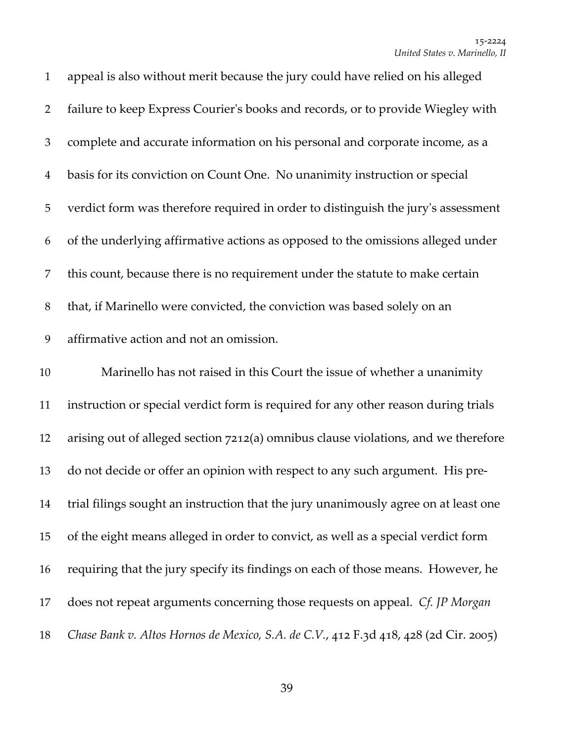| $\mathbf{1}$   | appeal is also without merit because the jury could have relied on his alleged      |
|----------------|-------------------------------------------------------------------------------------|
| $\overline{2}$ | failure to keep Express Courier's books and records, or to provide Wiegley with     |
| 3              | complete and accurate information on his personal and corporate income, as a        |
| $\overline{4}$ | basis for its conviction on Count One. No unanimity instruction or special          |
| $\mathbf 5$    | verdict form was therefore required in order to distinguish the jury's assessment   |
| 6              | of the underlying affirmative actions as opposed to the omissions alleged under     |
| $\overline{7}$ | this count, because there is no requirement under the statute to make certain       |
| $8\,$          | that, if Marinello were convicted, the conviction was based solely on an            |
| 9              | affirmative action and not an omission.                                             |
| 10             | Marinello has not raised in this Court the issue of whether a unanimity             |
|                |                                                                                     |
| 11             | instruction or special verdict form is required for any other reason during trials  |
| 12             | arising out of alleged section 7212(a) omnibus clause violations, and we therefore  |
| 13             | do not decide or offer an opinion with respect to any such argument. His pre-       |
| 14             | trial filings sought an instruction that the jury unanimously agree on at least one |
| 15             | of the eight means alleged in order to convict, as well as a special verdict form   |
| 16             | requiring that the jury specify its findings on each of those means. However, he    |
| 17             | does not repeat arguments concerning those requests on appeal. Cf. JP Morgan        |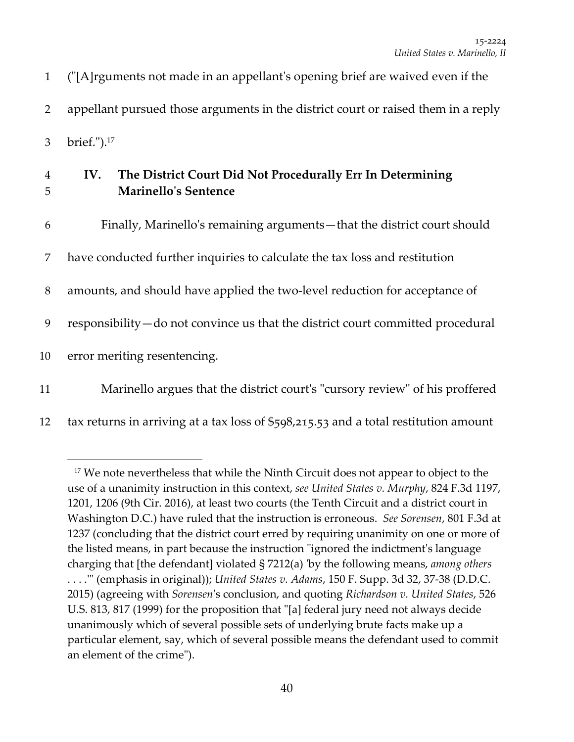1 (ʺ[A]rguments not made in an appellantʹs opening brief are waived even if the 2 appellant pursued those arguments in the district court or raised them in a reply 3 brief.").<sup>17</sup>

## 4 **IV. The District Court Did Not Procedurally Err In Determining** 5 **Marinelloʹs Sentence**

 Finally, Marinelloʹs remaining arguments—that the district court should have conducted further inquiries to calculate the tax loss and restitution 8 amounts, and should have applied the two-level reduction for acceptance of responsibility—do not convince us that the district court committed procedural error meriting resentencing. 11 Marinello argues that the district court's "cursory review" of his proffered

12 tax returns in arriving at a tax loss of  $$598,215.53$  and a total restitution amount

<sup>&</sup>lt;sup>17</sup> We note nevertheless that while the Ninth Circuit does not appear to object to the use of a unanimity instruction in this context, *see United States v. Murphy*, 824 F.3d 1197, 1201, 1206 (9th Cir. 2016), at least two courts (the Tenth Circuit and a district court in Washington D.C.) have ruled that the instruction is erroneous. *See Sorensen*, 801 F.3d at 1237 (concluding that the district court erred by requiring unanimity on one or more of the listed means, in part because the instruction "ignored the indictment's language charging that [the defendant] violated § 7212(a) ʹby the following means, *among others* . . . .ʹʺ (emphasis in original)); *United States v. Adams*, 150 F. Supp. 3d 32, 37‐38 (D.D.C. 2015) (agreeing with *Sorensen*ʹs conclusion, and quoting *Richardson v. United States*, 526 U.S. 813, 817 (1999) for the proposition that "[a] federal jury need not always decide unanimously which of several possible sets of underlying brute facts make up a particular element, say, which of several possible means the defendant used to commit an element of the crime").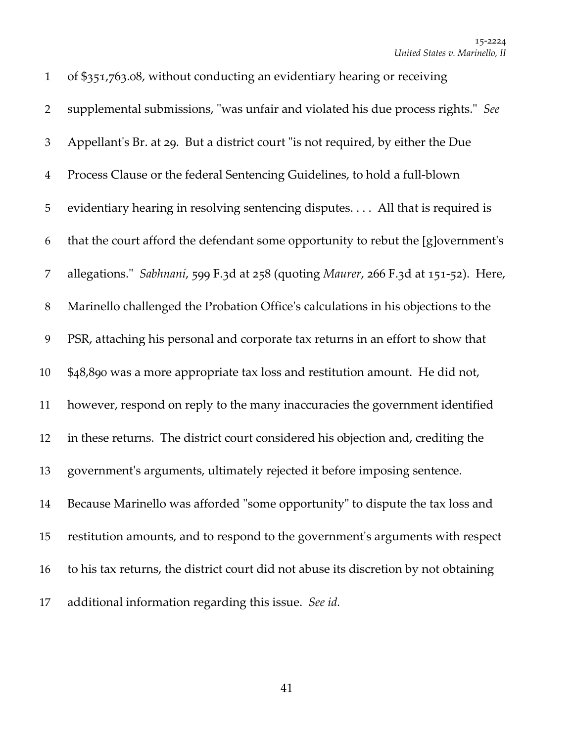of \$351,763.08, without conducting an evidentiary hearing or receiving 2 supplemental submissions, "was unfair and violated his due process rights." See 3 Appellant's Br. at 29. But a district court "is not required, by either the Due Process Clause or the federal Sentencing Guidelines, to hold a full‐blown evidentiary hearing in resolving sentencing disputes. . . . All that is required is that the court afford the defendant some opportunity to rebut the [g]overnmentʹs allegations.ʺ *Sabhnani*, 599 F.3d at 258 (quoting *Maurer*, 266 F.3d at 151‐52). Here, Marinello challenged the Probation Officeʹs calculations in his objections to the PSR, attaching his personal and corporate tax returns in an effort to show that \$48,890 was a more appropriate tax loss and restitution amount. He did not, however, respond on reply to the many inaccuracies the government identified in these returns. The district court considered his objection and, crediting the 13 government's arguments, ultimately rejected it before imposing sentence. 14 Because Marinello was afforded "some opportunity" to dispute the tax loss and restitution amounts, and to respond to the governmentʹs arguments with respect to his tax returns, the district court did not abuse its discretion by not obtaining additional information regarding this issue. *See id.*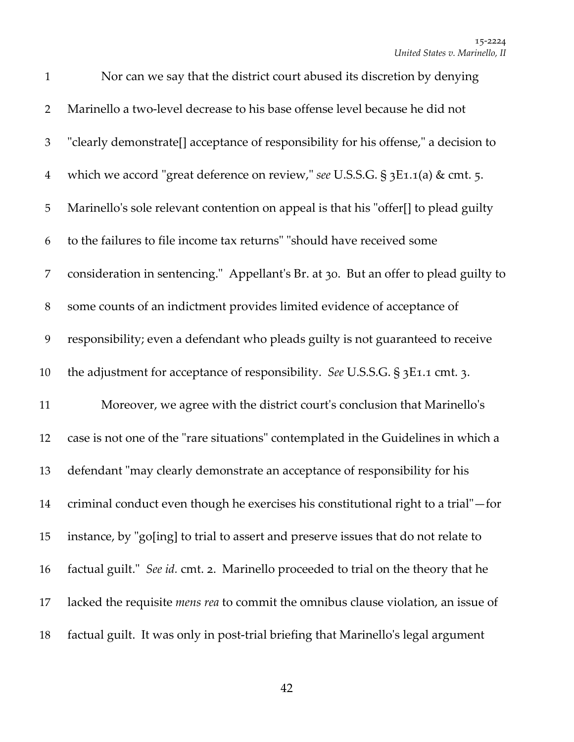| $\mathbf{1}$   | Nor can we say that the district court abused its discretion by denying                  |
|----------------|------------------------------------------------------------------------------------------|
| $\overline{2}$ | Marinello a two-level decrease to his base offense level because he did not              |
| 3              | "clearly demonstrate[] acceptance of responsibility for his offense," a decision to      |
| $\overline{4}$ | which we accord "great deference on review," see U.S.S.G. § 3E1.1(a) & cmt. 5.           |
| 5              | Marinello's sole relevant contention on appeal is that his "offer[] to plead guilty      |
| 6              | to the failures to file income tax returns" "should have received some                   |
| 7              | consideration in sentencing." Appellant's Br. at 30. But an offer to plead guilty to     |
| 8              | some counts of an indictment provides limited evidence of acceptance of                  |
| 9              | responsibility; even a defendant who pleads guilty is not guaranteed to receive          |
| 10             | the adjustment for acceptance of responsibility. See U.S.S.G. § 3E1.1 cmt. 3.            |
| 11             | Moreover, we agree with the district court's conclusion that Marinello's                 |
| 12             | case is not one of the "rare situations" contemplated in the Guidelines in which a       |
| 13             | defendant "may clearly demonstrate an acceptance of responsibility for his               |
| 14             | criminal conduct even though he exercises his constitutional right to a trial"-for       |
| 15             | instance, by "go[ing] to trial to assert and preserve issues that do not relate to       |
| 16             | factual guilt." See id. cmt. 2. Marinello proceeded to trial on the theory that he       |
| 17             | lacked the requisite <i>mens rea</i> to commit the omnibus clause violation, an issue of |
| 18             | factual guilt. It was only in post-trial briefing that Marinello's legal argument        |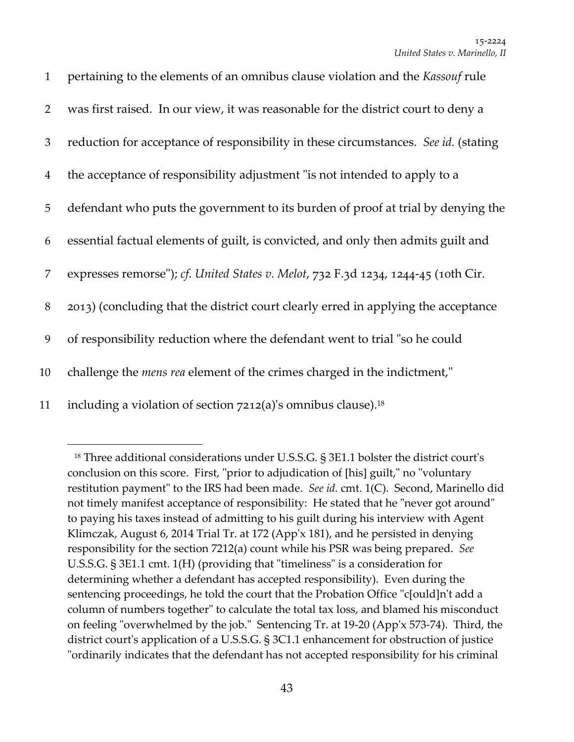| $\mathbf{1}$   | pertaining to the elements of an omnibus clause violation and the Kassouf rule      |
|----------------|-------------------------------------------------------------------------------------|
| 2              | was first raised. In our view, it was reasonable for the district court to deny a   |
| 3              | reduction for acceptance of responsibility in these circumstances. See id. (stating |
| $\overline{4}$ | the acceptance of responsibility adjustment "is not intended to apply to a          |
| 5              | defendant who puts the government to its burden of proof at trial by denying the    |
| 6              | essential factual elements of guilt, is convicted, and only then admits guilt and   |
| 7              | expresses remorse"); cf. United States v. Melot, 732 F.3d 1234, 1244-45 (10th Cir.  |
| $8\,$          | 2013) (concluding that the district court clearly erred in applying the acceptance  |
| 9              | of responsibility reduction where the defendant went to trial "so he could          |
| 10             | challenge the <i>mens rea</i> element of the crimes charged in the indictment,"     |
| 11             | including a violation of section 7212(a)'s omnibus clause). <sup>18</sup>           |

 $18$  Three additional considerations under U.S.S.G. § 3E1.1 bolster the district court's conclusion on this score. First, "prior to adjudication of [his] guilt," no "voluntary restitution payment" to the IRS had been made. See id. cmt. 1(C). Second, Marinello did not timely manifest acceptance of responsibility: He stated that he "never got around" to paying his taxes instead of admitting to his guilt during his interview with Agent Klimczak, August 6, 2014 Trial Tr. at 172 (Appʹx 181), and he persisted in denying responsibility for the section 7212(a) count while his PSR was being prepared. *See* U.S.S.G.  $\S 3E1.1$  cmt. 1(H) (providing that "timeliness" is a consideration for determining whether a defendant has accepted responsibility). Even during the sentencing proceedings, he told the court that the Probation Office "c[ould]n't add a column of numbers together" to calculate the total tax loss, and blamed his misconduct on feeling "overwhelmed by the job." Sentencing Tr. at 19-20 (App'x 573-74). Third, the district court's application of a U.S.S.G. § 3C1.1 enhancement for obstruction of justice "ordinarily indicates that the defendant has not accepted responsibility for his criminal